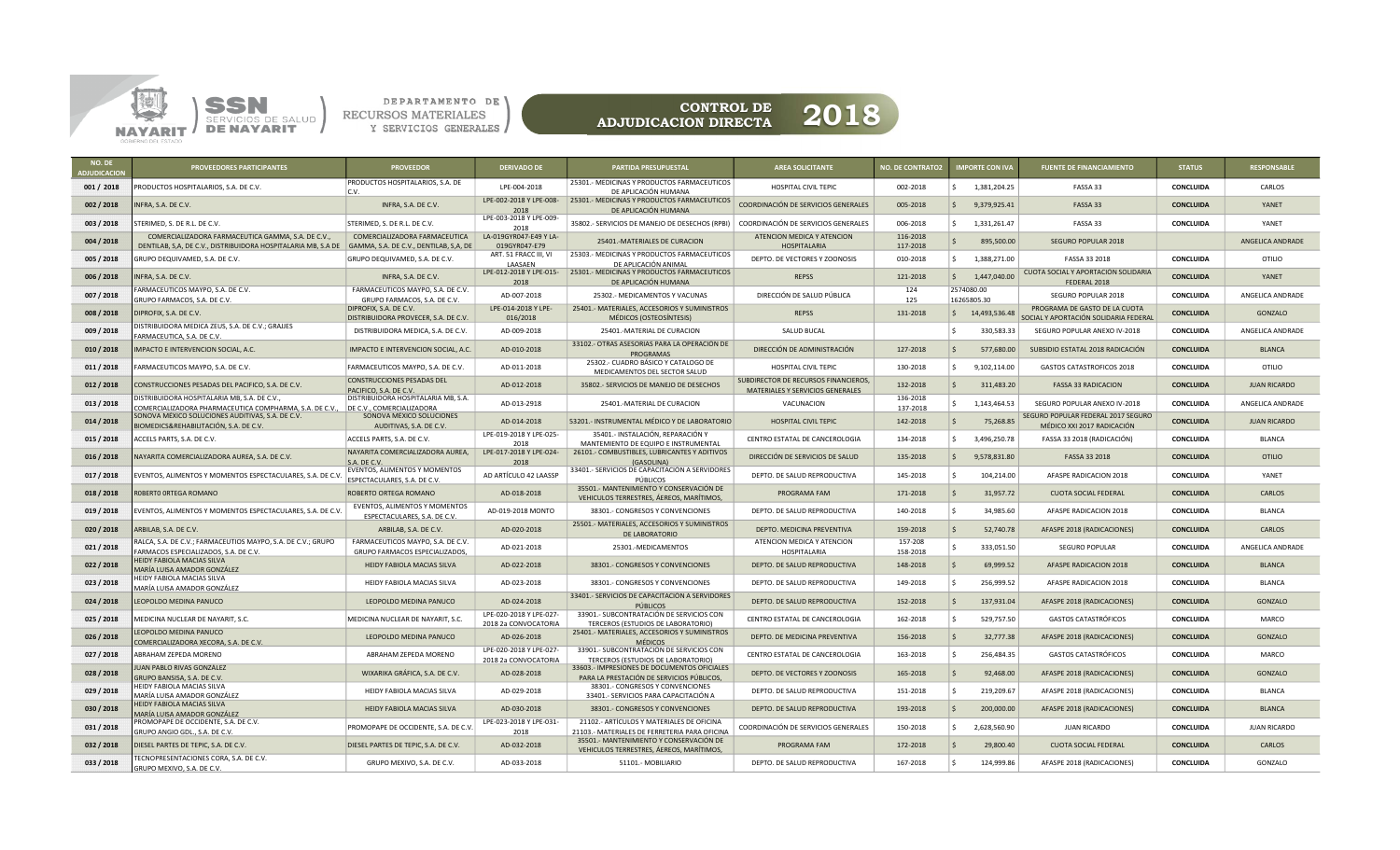



| NO. DE<br><b>DJUDICACIO</b> | <b>PROVEEDORES PARTICIPANTES</b>                                                                                    | <b>PROVEEDOR</b>                                                        | <b>DERIVADO DE</b>                              | <b>PARTIDA PRESUPUESTAL</b>                                                                 | <b>AREA SOLICITANTE</b>                                                  | <b>NO. DE CONTRATO2</b> | <b>IMPORTE CON IVA</b>      | <b>FUENTE DE FINANCIAMIENTO</b>                                        | <b>STATUS</b>    | <b>RESPONSABLE</b>  |
|-----------------------------|---------------------------------------------------------------------------------------------------------------------|-------------------------------------------------------------------------|-------------------------------------------------|---------------------------------------------------------------------------------------------|--------------------------------------------------------------------------|-------------------------|-----------------------------|------------------------------------------------------------------------|------------------|---------------------|
| 001 / 2018                  | PRODUCTOS HOSPITALARIOS, S.A. DE C.V.                                                                               | PRODUCTOS HOSPITALARIOS, S.A. DE<br>C.V.                                | LPE-004-2018                                    | 25301.- MEDICINAS Y PRODUCTOS FARMACEUTICOS<br>DE APLICACIÓN HUMANA                         | HOSPITAL CIVIL TEPIC                                                     | 002-2018                | l S<br>1,381,204.25         | FASSA 33                                                               | <b>CONCLUIDA</b> | CARLOS              |
| 002 / 2018                  | NFRA, S.A. DE C.V.                                                                                                  | INFRA, S.A. DE C.V.                                                     | LPE-002-2018 Y LPE-008-<br>2018                 | 25301.- MEDICINAS Y PRODUCTOS FARMACEUTICOS<br>DE APLICACIÓN HUMANA                         | COORDINACIÓN DE SERVICIOS GENERALES                                      | 005-2018                | 9,379,925.41<br>IS.         | FASSA 33                                                               | <b>CONCLUIDA</b> | YANET               |
| 003 / 2018                  | STERIMED, S. DE R.L. DE C.V.                                                                                        | STERIMED, S. DE R.L. DE C.V.                                            | LPE-003-2018 Y LPE-009-<br>2018                 | 35802 .- SERVICIOS DE MANEJO DE DESECHOS (RPBI)                                             | COORDINACIÓN DE SERVICIOS GENERALES                                      | 006-2018                | 1,331,261.47                | FASSA 33                                                               | <b>CONCLUIDA</b> | YANET               |
| 004 / 2018                  | COMERCIALIZADORA FARMACEUTICA GAMMA, S.A. DE C.V.,<br>DENTILAB, S,A, DE C.V., DISTRIBUIDORA HOSPITALARIA MB, S.A DE | COMERCIALIZADORA FARMACEUTICA<br>GAMMA, S.A. DE C.V., DENTILAB, S,A, DE | LA-019GYR047-E49 Y LA-<br>019GYR047-E79         | 25401.-MATERIALES DE CURACION                                                               | ATENCION MEDICA Y ATENCION<br><b>HOSPITALARIA</b>                        | 116-2018<br>117-2018    | 895,500.00                  | SEGURO POPULAR 2018                                                    |                  | ANGELICA ANDRADE    |
| 005 / 2018                  | GRUPO DEQUIVAMED, S.A. DE C.V.                                                                                      | GRUPO DEQUIVAMED, S.A. DE C.V.                                          | ART. 51 FRACC III, VI<br><b>I AASAFN</b>        | 25303.- MEDICINAS Y PRODUCTOS FARMACEUTICOS<br>DE APLICACIÓN ANIMAL                         | DEPTO. DE VECTORES Y ZOONOSIS                                            | 010-2018                | 1,388,271.00<br>S.          | FASSA 33 2018                                                          | <b>CONCLUIDA</b> | OTILIO              |
| 006 / 2018                  | INFRA, S.A. DE C.V.                                                                                                 | INFRA, S.A. DE C.V.                                                     | 2018                                            | LPE-012-2018 Y LPE-015- 25301.- MEDICINAS Y PRODUCTOS FARMACEUTICOS<br>DE APLICACIÓN HUMANA | <b>REPSS</b>                                                             | 121-2018                | 1,447,040.00<br>S.          | CUOTA SOCIAL Y APORTACIÓN SOLIDARIA<br>FEDERAL 2018                    | <b>CONCLUIDA</b> | YANET               |
| 007 / 2018                  | ARMACEUTICOS MAYPO, S.A. DE C.V<br>GRUPO FARMACOS, S.A. DE C.V                                                      | FARMACEUTICOS MAYPO, S.A. DE C.V.<br>GRUPO FARMACOS, S.A. DE C.V.       | AD-007-2018                                     | 25302.- MEDICAMENTOS Y VACUNAS                                                              | DIRECCIÓN DE SALUD PÚBLICA                                               | 124<br>125              | 2574080.00<br>16265805.30   | SEGURO POPULAR 2018                                                    | CONCLUIDA        | ANGELICA ANDRADE    |
| 008 / 2018                  | DIPROFIX, S.A. DE C.V.                                                                                              | DIPROFIX, S.A. DE C.V.<br>DISTRIBUIDORA PROVECER, S.A. DE C.V.          | LPE-014-2018 Y LPE-<br>016/2018                 | 25401.- MATERIALES, ACCESORIOS Y SUMINISTROS<br>MÉDICOS (OSTEOSÍNTESIS)                     | <b>REPSS</b>                                                             | 131-2018                | $\frac{1}{2}$ 14,493,536.48 | PROGRAMA DE GASTO DE LA CUOTA<br>SOCIAL Y APORTACIÓN SOLIDARIA FEDERAI | <b>CONCLUIDA</b> | GONZALO             |
| 009 / 2018                  | DISTRIBUIDORA MEDICA ZEUS, S.A. DE C.V.; GRAJJES<br>ARMACEUTICA, S.A. DE C.V.                                       | DISTRIBUIDORA MEDICA, S.A. DE C.V.                                      | AD-009-2018                                     | 25401.-MATERIAL DE CURACION                                                                 | SALUD BUCAL                                                              |                         | 330,583.33                  | SEGURO POPULAR ANEXO IV-2018                                           | <b>CONCLUIDA</b> | ANGELICA ANDRADE    |
| 010 / 2018                  | MPACTO E INTERVENCION SOCIAL, A.C.                                                                                  | IMPACTO E INTERVENCION SOCIAL, A.C.                                     | AD-010-2018                                     | 33102.- OTRAS ASESORIAS PARA LA OPERACIÓN DE<br>PROGRAMAS                                   | DIRECCIÓN DE ADMINISTRACIÓN                                              | 127-2018                | 577,680.00                  | SUBSIDIO ESTATAL 2018 RADICACIÓN                                       | <b>CONCLUIDA</b> | <b>BLANCA</b>       |
| 011/2018                    | ARMACEUTICOS MAYPO, S.A. DE C.V.                                                                                    | FARMACEUTICOS MAYPO, S.A. DE C.V.                                       | AD-011-2018                                     | 25302.- CUADRO BÁSICO Y CATALOGO DE<br>MEDICAMENTOS DEL SECTOR SALUD                        | HOSPITAL CIVIL TEPIC                                                     | 130-2018                | 9,102,114.00                | GASTOS CATASTROFICOS 2018                                              | <b>CONCLUIDA</b> | <b>OTILIO</b>       |
| 012 / 2018                  | CONSTRUCCIONES PESADAS DEL PACIFICO, S.A. DE C.V.                                                                   | <b>CONSTRUCCIONES PESADAS DEL</b><br>PACIFICO, S.A. DE C.V.             | AD-012-2018                                     | 35802 .- SERVICIOS DE MANEJO DE DESECHOS                                                    | SUBDIRECTOR DE RECURSOS FINANCIEROS,<br>MATERIALES Y SERVICIOS GENERALES | 132-2018                | 311,483.20<br>۱\$           | <b>FASSA 33 RADICACION</b>                                             | <b>CONCLUIDA</b> | <b>JUAN RICARDO</b> |
| 013 / 2018                  | ISTRIBUIDORA HOSPITALARIA MB, S.A. DE C.V.<br>OMERCIALIZADORA PHARMACEUTICA COMPHARMA, S.A. DE C.V.,                | DISTRIBUIDORA HOSPITALARIA MB, S.A.<br>DE C.V., COMERCIALIZADORA        | AD-013-2918                                     | 25401.-MATERIAL DE CURACION                                                                 | VACUNACION                                                               | 136-2018<br>137-2018    | 1,143,464.53                | SEGURO POPULAR ANEXO IV-2018                                           | <b>CONCLUIDA</b> | ANGELICA ANDRADE    |
| 014 / 2018                  | ONOVA MÉXICO SOLUCIONES AUDITIVAS, S.A. DE C.V.<br>BIOMEDICS&REHABILITACIÓN, S.A. DE C.V                            | SONOVA MÉXICO SOLUCIONES<br>AUDITIVAS, S.A. DE C.V.                     | AD-014-2018                                     | 53201.- INSTRUMENTAL MÉDICO Y DE LABORATORIO                                                | HOSPITAL CIVIL TEPIC                                                     | 142-2018                | 75,268.85                   | <b>GURO POPULAR FEDERAL 2017 SEGURO</b><br>MÉDICO XXI 2017 RADICACIÓN  | <b>CONCLUIDA</b> | <b>JUAN RICARDO</b> |
| 015 / 2018                  | ACCELS PARTS, S.A. DE C.V.                                                                                          | ACCELS PARTS, S.A. DE C.V.                                              | LPE-019-2018 Y LPE-025-<br>2018                 | 35401.- INSTALACIÓN, REPARACIÓN Y<br>MANTEMIENTO DE EQUIPO E INSTRUMENTAL                   | CENTRO ESTATAL DE CANCEROLOGIA                                           | 134-2018                | 3,496,250.78                | FASSA 33 2018 (RADICACIÓN)                                             | <b>CONCLUIDA</b> | <b>BLANCA</b>       |
| 016 / 2018                  | VAYARITA COMERCIALIZADORA AUREA, S.A. DE C.V.                                                                       | NAYARITA COMERCIALIZADORA AUREA,<br>S.A. DE C.V.                        | LPE-017-2018 Y LPE-024-<br>2018                 | 26101.- COMBUSTIBLES, LUBRICANTES Y ADITIVOS<br>(GASOLINA)                                  | DIRECCIÓN DE SERVICIOS DE SALUD                                          | 135-2018                | 9,578,831.80<br>l S         | FASSA 33 2018                                                          | <b>CONCLUIDA</b> | <b>OTILIO</b>       |
| 017 / 2018                  | VENTOS, ALIMENTOS Y MOMENTOS ESPECTACULARES, S.A. DE C.V.                                                           | <b>EVENTOS, ALIMENTOS Y MOMENTOS</b><br>ESPECTACULARES, S.A. DE C.V.    | AD ARTÍCULO 42 LAASSP                           | 33401.- SERVICIOS DE CAPACITACIÓN A SERVIDORES<br>PÚBLICOS                                  | DEPTO. DE SALUD REPRODUCTIVA                                             | 145-2018                | 104,214.00                  | AFASPE RADICACION 2018                                                 | <b>CONCLUIDA</b> | YANET               |
| 018 / 2018                  | <b>ROBERTO ORTEGA ROMANO</b>                                                                                        | ROBERTO ORTEGA ROMANO                                                   | AD-018-2018                                     | 35501.- MANTENIMIENTO Y CONSERVACIÓN DE<br>VEHICULOS TERRESTRES, ÁEREOS, MARÍTIMOS,         | PROGRAMA FAM                                                             | 171-2018                | 31,957.72                   | <b>CUOTA SOCIAL FEDERAL</b>                                            | <b>CONCLUIDA</b> | CARLOS              |
| 019 / 2018                  | EVENTOS, ALIMENTOS Y MOMENTOS ESPECTACULARES, S.A. DE C.V                                                           | EVENTOS, ALIMENTOS Y MOMENTOS<br>ESPECTACULARES, S.A. DE C.V.           | AD-019-2018 MONTO                               | 38301.- CONGRESOS Y CONVENCIONES                                                            | DEPTO. DE SALUD REPRODUCTIVA                                             | 140-2018                | 34,985.60                   | AFASPE RADICACION 2018                                                 | <b>CONCLUIDA</b> | <b>BLANCA</b>       |
| 020 / 2018                  | ARBILAB, S.A. DE C.V.                                                                                               | ARBILAB, S.A. DE C.V.                                                   | AD-020-2018                                     | 25501.- MATERIALES, ACCESORIOS Y SUMINISTROS<br>DE LABORATORIO                              | DEPTO. MEDICINA PREVENTIVA                                               | 159-2018                | 52,740.78<br>۱s             | AFASPE 2018 (RADICACIONES)                                             | <b>CONCLUIDA</b> | CARLOS              |
| 021/2018                    | RALCA, S.A. DE C.V.; FARMACEUTIOS MAYPO, S.A. DE C.V.; GRUPO<br>ARMACOS ESPECIALIZADOS, S.A. DE C.V.                | FARMACEUTICOS MAYPO, S.A. DE C.V.<br>GRUPO FARMACOS ESPECIALIZADOS,     | AD-021-2018                                     | 25301.-MEDICAMENTOS                                                                         | ATENCION MEDICA Y ATENCION<br>HOSPITALARIA                               | 157-208<br>158-2018     | 333.051.50                  | <b>SEGURO POPULAR</b>                                                  | <b>CONCLUIDA</b> | ANGELICA ANDRADE    |
| 022 / 2018                  | HEIDY FABIOLA MACIAS SILVA<br>MARÍA LUISA AMADOR GONZÁLEZ                                                           | HEIDY FABIOLA MACIAS SILVA                                              | AD-022-2018                                     | 38301.- CONGRESOS Y CONVENCIONES                                                            | DEPTO. DE SALUD REPRODUCTIVA                                             | 148-2018                | 69,999.52                   | AFASPE RADICACION 2018                                                 | <b>CONCLUIDA</b> | <b>BI ANCA</b>      |
| 023 / 2018                  | HEIDY FABIOLA MACIAS SILVA<br>MARÍA LUISA AMADOR GONZÁLEZ                                                           | HEIDY FABIOLA MACIAS SILVA                                              | AD-023-2018                                     | 38301.- CONGRESOS Y CONVENCIONES                                                            | DEPTO. DE SALUD REPRODUCTIVA                                             | 149-2018                | 256,999.52                  | AFASPE RADICACION 2018                                                 | <b>CONCLUIDA</b> | <b>BLANCA</b>       |
| 024 / 2018                  | EOPOLDO MEDINA PANUCO                                                                                               | LEOPOLDO MEDINA PANUCO                                                  | AD-024-2018                                     | 33401.- SERVICIOS DE CAPACITACIÓN A SERVIDORES<br><b>PÚBLICOS</b>                           | DEPTO. DE SALUD REPRODUCTIVA                                             | 152-2018                | 137,931.04                  | AFASPE 2018 (RADICACIONES)                                             | <b>CONCLUIDA</b> | GONZALO             |
| 025 / 2018                  | MEDICINA NUCLEAR DE NAYARIT, S.C.                                                                                   | MEDICINA NUCLEAR DE NAYARIT, S.C.                                       | LPE-020-2018 Y LPE-027-<br>2018 2a CONVOCATORIA | 33901.- SUBCONTRATACIÓN DE SERVICIOS CON<br>TERCEROS (ESTUDIOS DE LABORATORIO)              | CENTRO ESTATAL DE CANCEROLOGIA                                           | 162-2018                | 529,757.50                  | <b>GASTOS CATASTRÓFICOS</b>                                            | <b>CONCLUIDA</b> | MARCO               |
| 026 / 2018                  | EOPOLDO MEDINA PANUCO<br>COMERCIALIZADORA XECORA, S.A. DE C.V.                                                      | LEOPOLDO MEDINA PANUCO                                                  | AD-026-2018                                     | 25401.- MATERIALES, ACCESORIOS Y SUMINISTROS<br><b>MÉDICOS</b>                              | DEPTO. DE MEDICINA PREVENTIVA                                            | 156-2018                | 32,777.38                   | AFASPE 2018 (RADICACIONES)                                             | <b>CONCLUIDA</b> | <b>GONZALO</b>      |
| 027 / 2018                  | ABRAHAM ZEPEDA MORENO                                                                                               | ABRAHAM ZEPEDA MORENO                                                   | LPE-020-2018 Y LPE-027-<br>2018 2a CONVOCATORIA | 33901.- SUBCONTRATACIÓN DE SERVICIOS CON<br>TERCEROS (ESTUDIOS DE LABORATORIO)              | CENTRO ESTATAL DE CANCEROLOGIA                                           | 163-2018                | 256,484.35                  | <b>GASTOS CATASTRÓFICOS</b>                                            | <b>CONCLUIDA</b> | MARCO               |
| 028 / 2018                  | UAN PABLO RIVAS GONZÁLEZ<br>GRUPO BANSISA, S.A. DE C.V                                                              | WIXARIKA GRÁFICA, S.A. DE C.V.                                          | AD-028-2018                                     | 33603.- IMPRESIONES DE DOCUMENTOS OFICIALES<br>PARA LA PRESTACIÓN DE SERVICIOS PÚBLICOS,    | DEPTO. DE VECTORES Y ZOONOSIS                                            | 165-2018                | 92,468.00<br>l S            | AFASPE 2018 (RADICACIONES)                                             | <b>CONCLUIDA</b> | GONZALO             |
| 029 / 2018                  | HEIDY FABIOLA MACIAS SILVA<br>MARÍA LUISA AMADOR GONZÁLEZ                                                           | HEIDY FABIOLA MACIAS SILVA                                              | AD-029-2018                                     | 38301.- CONGRESOS Y CONVENCIONES<br>33401.- SERVICIOS PARA CAPACITACIÓN A                   | DEPTO. DE SALUD REPRODUCTIVA                                             | 151-2018                | 219,209.67<br>١ś            | AFASPE 2018 (RADICACIONES)                                             | <b>CONCLUIDA</b> | <b>BLANCA</b>       |
| 030 / 2018                  | <b>IEIDY FABIOLA MACIAS SILVA</b><br>MARÍA LUISA AMADOR GONZÁLEZ                                                    | HEIDY FABIOLA MACIAS SILVA                                              | AD-030-2018                                     | 38301.- CONGRESOS Y CONVENCIONES                                                            | DEPTO. DE SALUD REPRODUCTIVA                                             | 193-2018                | 200,000.00                  | AFASPE 2018 (RADICACIONES)                                             | <b>CONCLUIDA</b> | <b>BLANCA</b>       |
| 031 / 2018                  | PROMOPAPE DE OCCIDENTE, S.A. DE C.V.<br>SRUPO ANGIO GDL., S.A. DE C.V.                                              | PROMOPAPE DE OCCIDENTE, S.A. DE C.V                                     | LPE-023-2018 Y LPE-031-<br>2018                 | 21102.- ARTÍCULOS Y MATERIALES DE OFICINA<br>21103.- MATERIALES DE FERRETERIA PARA OFICINA  | COORDINACIÓN DE SERVICIOS GENERALES                                      | 150-2018                | 2,628,560.90                | <b>JUAN RICARDO</b>                                                    | CONCLUIDA        | <b>JUAN RICARDO</b> |
| 032 / 2018                  | DIESEL PARTES DE TEPIC, S.A. DE C.V.                                                                                | DIESEL PARTES DE TEPIC, S.A. DE C.V.                                    | AD-032-2018                                     | 35501.- MANTENIMIENTO Y CONSERVACIÓN DE<br>VEHICULOS TERRESTRES, ÁEREOS, MARÍTIMOS,         | PROGRAMA FAM                                                             | 172-2018                | 29,800.40                   | <b>CUOTA SOCIAL FEDERAL</b>                                            | <b>CONCLUIDA</b> | CARLOS              |
| 033 / 2018                  | ECNOPRESENTACIONES CORA, S.A. DE C.V.<br>GRUPO MEXIVO, S.A. DE C.V.                                                 | GRUPO MEXIVO, S.A. DE C.V.                                              | AD-033-2018                                     | 51101.- MOBILIARIO                                                                          | DEPTO. DE SALUD REPRODUCTIVA                                             | 167-2018                | 124,999.86                  | AFASPE 2018 (RADICACIONES)                                             | <b>CONCLUIDA</b> | GONZALO             |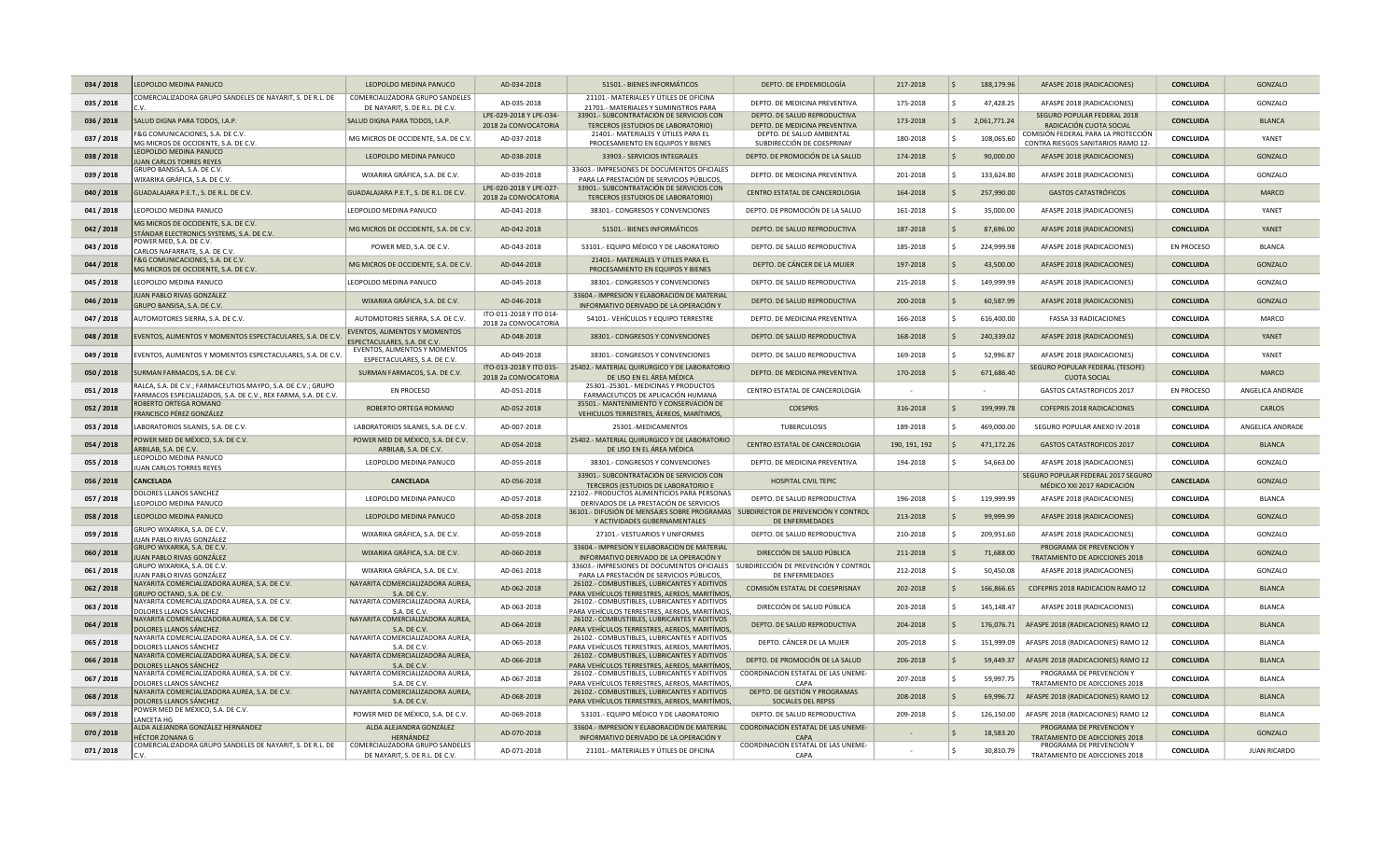| 034 / 2018 | EOPOLDO MEDINA PANUCO                                                                                                         | LEOPOLDO MEDINA PANUCO                                                                | AD-034-2018                                     | 51501.- BIENES INFORMÁTICOS                                                                                                                | DEPTO. DE EPIDEMIOLOGÍA                                       | 217-2018      | 188,179.96<br><sub>S</sub>           | AFASPE 2018 (RADICACIONES)                                                                          | <b>CONCLUIDA</b>  | GONZALO             |
|------------|-------------------------------------------------------------------------------------------------------------------------------|---------------------------------------------------------------------------------------|-------------------------------------------------|--------------------------------------------------------------------------------------------------------------------------------------------|---------------------------------------------------------------|---------------|--------------------------------------|-----------------------------------------------------------------------------------------------------|-------------------|---------------------|
| 035 / 2018 | OMERCIALIZADORA GRUPO SANDELES DE NAYARIT, S. DE R.L. DE                                                                      | COMERCIALIZADORA GRUPO SANDELES<br>DE NAYARIT, S. DE R.L. DE C.V.                     | AD-035-2018                                     | 21101.- MATERIALES Y ÚTILES DE OFICINA<br>21701.- MATERIALES Y SUMINISTROS PARA                                                            | DEPTO. DE MEDICINA PREVENTIVA                                 | 175-2018      | 47,428.25                            | AFASPE 2018 (RADICACIONES)                                                                          | CONCLUIDA         | GONZALO             |
| 036 / 2018 | ALUD DIGNA PARA TODOS, I.A.P.                                                                                                 | SALUD DIGNA PARA TODOS, I.A.P.                                                        | LPE-029-2018 Y LPE-034-<br>2018 2a CONVOCATORIA | 33901.- SUBCONTRATACIÓN DE SERVICIOS CON<br>TERCEROS (ESTUDIOS DE LABORATORIO)                                                             | DEPTO, DE SALUD REPRODUCTIVA<br>DEPTO. DE MEDICINA PREVENTIVA | 173-2018      | 2,061,771.24<br>\$.                  | SEGURO POPULAR FEDERAL 2018<br>RADICACIÓN CUOTA SOCIAL                                              | <b>CONCLUIDA</b>  | <b>BLANCA</b>       |
| 037 / 2018 | &G COMUNICACIONES, S.A. DE C.V<br>MG MICROS DE OCCIDENTE, S.A. DE C.V.                                                        | MG MICROS DE OCCIDENTE, S.A. DE C.V.                                                  | AD-037-2018                                     | 21401.- MATERIALES Y ÚTILES PARA EL<br>PROCESAMIENTO EN EQUIPOS Y BIENES                                                                   | DEPTO. DE SALUD AMBIENTAL<br>SUBDIRECCIÓN DE COESPRINAY       | 180-2018      | 108,065.60                           | COMISIÓN FEDERAL PARA LA PROTECCIÓN<br>CONTRA RIESGOS SANITARIOS RAMO 12-                           | CONCLUIDA         | YANET               |
| 038 / 2018 | EOPOLDO MEDINA PANUCO<br>UAN CARLOS TORRES REYES                                                                              | LEOPOLDO MEDINA PANUCO                                                                | AD-038-2018                                     | 33903.- SERVICIOS INTEGRALES                                                                                                               | DEPTO. DE PROMOCIÓN DE LA SALUD                               | 174-2018      | 90,000.00                            | AFASPE 2018 (RADICACIONES)                                                                          | <b>CONCLUIDA</b>  | GONZALO             |
| 039 / 2018 | GRUPO BANSISA, S.A. DE C.V.<br>NIXARIKA GRÁFICA, S.A. DE C.V.                                                                 | WIXARIKA GRÁFICA, S.A. DE C.V                                                         | AD-039-2018                                     | 33603.- IMPRESIONES DE DOCUMENTOS OFICIALES<br>PARA LA PRESTACIÓN DE SERVICIOS PÚBLICOS,                                                   | DEPTO, DE MEDICINA PREVENTIVA                                 | 201-2018      | 133,624.80<br><b>C</b>               | AFASPE 2018 (RADICACIONES)                                                                          | CONCLUIDA         | GONZALO             |
| 040 / 2018 | GUADALAJARA P.E.T., S. DE R.L. DE C.V.                                                                                        | GUADALAJARA P.E.T., S. DE R.L. DE C.V.                                                | LPE-020-2018 Y LPE-027-<br>2018 2a CONVOCATORIA | 33901.- SUBCONTRATACIÓN DE SERVICIOS CON<br>TERCEROS (ESTUDIOS DE LABORATORIO)                                                             | CENTRO ESTATAL DE CANCEROLOGIA                                | 164-2018      | 257,990.00<br>S                      | <b>GASTOS CATASTRÓFICOS</b>                                                                         | <b>CONCLUIDA</b>  | <b>MARCO</b>        |
| 041 / 2018 | EOPOLDO MEDINA PANUCO                                                                                                         | LEOPOLDO MEDINA PANUCO                                                                | AD-041-2018                                     | 38301.- CONGRESOS Y CONVENCIONES                                                                                                           | DEPTO. DE PROMOCIÓN DE LA SALUD                               | 161-2018      | 35,000.00                            | AFASPE 2018 (RADICACIONES)                                                                          | CONCLUIDA         | YANET               |
| 042 / 2018 | MG MICROS DE OCCIDENTE, S.A. DE C.V.<br>TÁNDAR ELECTRONICS SYSTEMS, S.A. DE C.V                                               | MG MICROS DE OCCIDENTE, S.A. DE C.V.                                                  | AD-042-2018                                     | 51501.- BIENES INFORMÁTICOS                                                                                                                | DEPTO. DE SALUD REPRODUCTIVA                                  | 187-2018      | 87,696.00                            | AFASPE 2018 (RADICACIONES)                                                                          | <b>CONCLUIDA</b>  | YANET               |
| 043 / 2018 | POWER MED, S.A. DE C.V.<br>ARLOS NAFARRATE, S.A. DE C.V.                                                                      | POWER MED, S.A. DE C.V                                                                | AD-043-2018                                     | 53101.- EQUIPO MÉDICO Y DE LABORATORIO                                                                                                     | DEPTO. DE SALUD REPRODUCTIVA                                  | 185-2018      | l \$<br>224,999.98                   | AFASPE 2018 (RADICACIONES)                                                                          | <b>EN PROCESO</b> | <b>BLANCA</b>       |
| 044 / 2018 | &G COMUNICACIONES, S.A. DE C.V<br>MG MICROS DE OCCIDENTE, S.A. DE C.V.                                                        | MG MICROS DE OCCIDENTE, S.A. DE C.V.                                                  | AD-044-2018                                     | 21401.- MATERIALES Y ÚTILES PARA EL<br>PROCESAMIENTO EN EQUIPOS Y BIENES                                                                   | DEPTO. DE CÁNCER DE LA MUJER                                  | 197-2018      | 43,500.00                            | AFASPE 2018 (RADICACIONES)                                                                          | <b>CONCLUIDA</b>  | GONZALO             |
| 045 / 2018 | EOPOLDO MEDINA PANUCO                                                                                                         | LEOPOLDO MEDINA PANUCO                                                                | AD-045-2018                                     | 38301.- CONGRESOS Y CONVENCIONES                                                                                                           | DEPTO. DE SALUD REPRODUCTIVA                                  | 215-2018      | 149,999.99                           | AFASPE 2018 (RADICACIONES)                                                                          | CONCLUIDA         | GONZALO             |
| 046 / 2018 | UAN PABLO RIVAS GONZÁLEZ<br>GRUPO BANSISA, S.A. DE C.V.                                                                       | WIXARIKA GRÁFICA, S.A. DE C.V                                                         | AD-046-2018                                     | 33604.- IMPRESIÓN Y ELABORACIÓN DE MATERIAL<br>INFORMATIVO DERIVADO DE LA OPERACIÓN Y                                                      | DEPTO. DE SALUD REPRODUCTIVA                                  | 200-2018      | 60,587.99                            | AFASPE 2018 (RADICACIONES)                                                                          | <b>CONCLUIDA</b>  | GONZALO             |
| 047 / 2018 | AUTOMOTORES SIERRA, S.A. DE C.V.                                                                                              | AUTOMOTORES SIERRA, S.A. DE C.V.                                                      | ITO-011-2018 Y ITO 014-<br>2018 2a CONVOCATORIA | 54101.- VEHÍCULOS Y EQUIPO TERRESTRE                                                                                                       | DEPTO. DE MEDICINA PREVENTIVA                                 | 166-2018      | 616,400.00<br>۱Ś                     | <b>FASSA 33 RADICACIONES</b>                                                                        | <b>CONCLUIDA</b>  | MARCO               |
| 048 / 2018 | VENTOS, ALIMENTOS Y MOMENTOS ESPECTACULARES, S.A. DE C.V                                                                      | EVENTOS, ALIMENTOS Y MOMENTOS<br>ESPECTACULARES, S.A. DE C.V.                         | AD-048-2018                                     | 38301.- CONGRESOS Y CONVENCIONES                                                                                                           | DEPTO. DE SALUD REPRODUCTIVA                                  | 168-2018      | 240,339.02                           | AFASPE 2018 (RADICACIONES)                                                                          | <b>CONCLUIDA</b>  | YANFT               |
| 049 / 2018 | VENTOS, ALIMENTOS Y MOMENTOS ESPECTACULARES, S.A. DE C.V.                                                                     | EVENTOS, ALIMENTOS Y MOMENTOS<br>ESPECTACULARES, S.A. DE C.V.                         | AD-049-2018                                     | 38301.- CONGRESOS Y CONVENCIONES                                                                                                           | DEPTO. DE SALUD REPRODUCTIVA                                  | 169-2018      | 52,996.87                            | AFASPE 2018 (RADICACIONES)                                                                          | <b>CONCLUIDA</b>  | YANFT               |
| 050 / 2018 | <b>SURMAN FARMACOS, S.A. DE C.V.</b>                                                                                          | SURMAN FARMACOS, S.A. DE C.V.                                                         | ITO-013-2018 Y ITO 015-<br>2018 2a CONVOCATORIA | 25402.- MATERIAL QUIRURGICO Y DE LABORATORIO<br>DE USO EN EL ÁREA MÉDICA                                                                   | DEPTO, DE MEDICINA PREVENTIVA                                 | 170-2018      | 671,686.40                           | SEGURO POPULAR FEDERAL (TESOFE)<br><b>CUOTA SOCIAL</b>                                              | <b>CONCLUIDA</b>  | <b>MARCO</b>        |
| 051 / 2018 | RALCA, S.A. DE C.V.; FARMACEUTIOS MAYPO, S.A. DE C.V.; GRUPO<br>ARMACOS ESPECIALIZADOS, S.A. DE C.V., REX FARMA, S.A. DE C.V. | <b>EN PROCESO</b>                                                                     | AD-051-2018                                     | 25301.-25301.- MEDICINAS Y PRODUCTOS<br>FARMACEUTICOS DE APLICACIÓN HUMANA                                                                 | CENTRO ESTATAL DE CANCEROLOGIA                                |               |                                      | <b>GASTOS CATASTROFICOS 2017</b>                                                                    | <b>EN PROCESO</b> | ANGELICA ANDRADE    |
| 052 / 2018 | OBERTO ORTEGA ROMANO<br>RANCISCO PÉREZ GONZÁLEZ                                                                               | ROBERTO ORTEGA ROMANO                                                                 | AD-052-2018                                     | 35501.- MANTENIMIENTO Y CONSERVACIÓN DE<br>VEHICULOS TERRESTRES, ÁEREOS, MARÍTIMOS,                                                        | <b>COESPRIS</b>                                               | 316-2018      | 199,999.78<br><sup>S</sup>           | COFEPRIS 2018 RADICACIONES                                                                          | <b>CONCLUIDA</b>  | <b>CARLOS</b>       |
| 053 / 2018 | ABORATORIOS SILANES, S.A. DE C.V.                                                                                             | LABORATORIOS SILANES, S.A. DE C.V.                                                    | AD-007-2018                                     | 25301.-MEDICAMENTOS                                                                                                                        | <b>TUBERCULOSIS</b>                                           | 189-2018      | 469,000.00                           | SEGURO POPULAR ANEXO IV-2018                                                                        | CONCLUIDA         | ANGELICA ANDRADE    |
| 054 / 2018 | OWER MED DE MÉXICO, S.A. DE C.V.<br>RBILAB, S.A. DE C.V.                                                                      | POWER MED DE MÉXICO, S.A. DE C.V.<br>ARBILAB, S.A. DE C.V                             | AD-054-2018                                     | 25402.- MATERIAL QUIRURGICO Y DE LABORATORIO<br>DE USO EN EL ÁREA MÉDICA                                                                   | CENTRO ESTATAL DE CANCEROLOGIA                                | 190, 191, 192 | 471,172.26<br>۱Ś                     | <b>GASTOS CATASTROFICOS 2017</b>                                                                    | <b>CONCLUIDA</b>  | <b>BLANCA</b>       |
| 055 / 2018 | EOPOLDO MEDINA PANUCO<br>UAN CARLOS TORRES REYES                                                                              | LEOPOLDO MEDINA PANUCO                                                                | AD-055-2018                                     | 38301.- CONGRESOS Y CONVENCIONES                                                                                                           | DEPTO. DE MEDICINA PREVENTIVA                                 | 194-2018      | 54,663.00                            | AFASPE 2018 (RADICACIONES)                                                                          | <b>CONCLUIDA</b>  | GONZALO             |
| 056 / 2018 | <b>ANCELADA</b>                                                                                                               | <b>CANCELADA</b>                                                                      | AD-056-2018                                     | 33901.- SUBCONTRATACIÓN DE SERVICIOS CON<br>TERCEROS (ESTUDIOS DE LABORATORIO E                                                            | <b>HOSPITAL CIVIL TEPIC</b>                                   |               |                                      | SEGURO POPULAR FEDERAL 2017 SEGURO<br>MÉDICO XXI 2017 RADICACIÓN                                    | <b>CANCELADA</b>  | GONZALO             |
| 057 / 2018 | OLORES LLANOS SANCHEZ<br>EOPOLDO MEDINA PANUCO                                                                                | LEOPOLDO MEDINA PANUCO                                                                | AD-057-2018                                     | 22102.- PRODUCTOS ALIMENTICIOS PARA PERSONAS<br>DERIVADOS DE LA PRESTACIÓN DE SERVICIOS                                                    | DEPTO. DE SALUD REPRODUCTIVA                                  | 196-2018      |                                      | AFASPE 2018 (RADICACIONES)                                                                          | <b>CONCLUIDA</b>  | <b>BLANCA</b>       |
| 058 / 2018 | EOPOLDO MEDINA PANUCO                                                                                                         |                                                                                       |                                                 |                                                                                                                                            |                                                               |               | 119,999.99<br>-S                     |                                                                                                     |                   |                     |
| 059 / 2018 |                                                                                                                               | LEOPOLDO MEDINA PANUCO                                                                | AD-058-2018                                     | 36101.- DIFUSIÓN DE MENSAJES SOBRE PROGRAMAS SUBDIRECTOR DE PREVENCIÓN Y CONTROL<br>Y ACTIVIDADES GUBERNAMENTALES                          | DE ENFERMEDADES                                               | 213-2018      | 99,999.99<br><sub>S</sub>            | AFASPE 2018 (RADICACIONES)                                                                          | <b>CONCLUIDA</b>  | GONZALO             |
|            | <b>GRUPO WIXARIKA, S.A. DE C.V</b><br>UAN PABLO RIVAS GONZÁLEZ                                                                | WIXARIKA GRÁFICA, S.A. DE C.V.                                                        | AD-059-2018                                     | 27101.- VESTUARIOS Y UNIFORMES                                                                                                             | DEPTO. DE SALUD REPRODUCTIVA                                  | 210-2018      | 209,951.60                           | AFASPE 2018 (RADICACIONES)                                                                          | CONCLUIDA         | GONZALO             |
| 060 / 2018 | GRUPO WIXARIKA, S.A. DE C.V.<br>UAN PABLO RIVAS GONZÁLEZ                                                                      | WIXARIKA GRÁFICA, S.A. DE C.V.                                                        | AD-060-2018                                     | 33604.- IMPRESIÓN Y ELABORACIÓN DE MATERIAL<br>INFORMATIVO DERIVADO DE LA OPERACIÓN Y                                                      | DIRECCIÓN DE SALUD PÚBLICA                                    | 211-2018      | 71,688.00                            | PROGRAMA DE PREVENCIÓN Y<br>TRATAMIENTO DE ADICCIONES 2018                                          | <b>CONCLUIDA</b>  | GONZALO             |
| 061 / 2018 | GRUPO WIXARIKA, S.A. DE C.V.                                                                                                  | WIXARIKA GRÁFICA, S.A. DE C.V.                                                        | AD-061-2018                                     | 33603.- IMPRESIONES DE DOCUMENTOS OFICIALES   SUBDIRECCIÓN DE PREVENCIÓN Y CONTROL                                                         |                                                               | 212-2018      | 50,450.08<br><b>S</b>                | AFASPE 2018 (RADICACIONES)                                                                          | CONCLUIDA         | GONZALO             |
| 062 / 2018 | UAN PABLO RIVAS GONZÁLEZ<br>NAYARITA COMERCIALIZADORA AUREA, S.A. DE C.V.<br>GRUPO OCTANO, S.A. DE C.V.                       | NAYARITA COMERCIALIZADORA AUREA,<br>S.A. DE C.V.                                      | AD-062-2018                                     | PARA LA PRESTACIÓN DE SERVICIOS PÚBLICOS,<br>26102.- COMBUSTIBLES, LUBRICANTES Y ADITIVOS<br>PARA VEHÍCULOS TERRESTRES, AEREOS, MARITÍMOS, | DE ENFERMEDADES<br>COMISIÓN ESTATAL DE COESPRISNAY            | 202-2018      | 166,866.65                           | COFEPRIS 2018 RADICACION RAMO 12                                                                    | <b>CONCLUIDA</b>  | <b>BLANCA</b>       |
| 063 / 2018 | VAYARITA COMERCIALIZADORA AUREA, S.A. DE C.V.                                                                                 | NAYARITA COMERCIALIZADORA AUREA,                                                      | AD-063-2018                                     | 26102.- COMBUSTIBLES, LUBRICANTES Y ADITIVOS                                                                                               | DIRECCIÓN DE SALUD PÚBLICA                                    | 203-2018      | 145,148.47                           | AFASPE 2018 (RADICACIONES)                                                                          | CONCLUIDA         | <b>BLANCA</b>       |
| 064 / 2018 | DOLORES LLANOS SÁNCHEZ<br>NAYARITA COMERCIALIZADORA AUREA, S.A. DE C.V.                                                       | S.A. DE C.V.<br>NAYARITA COMERCIALIZADORA AUREA,                                      | AD-064-2018                                     | PARA VEHÍCULOS TERRESTRES, AEREOS, MARITÍMOS<br>26102.- COMBUSTIBLES, LUBRICANTES Y ADITIVOS                                               | DEPTO. DE SALUD REPRODUCTIVA                                  | 204-2018      | l S<br>176,076.71                    | AFASPE 2018 (RADICACIONES) RAMO 12                                                                  | <b>CONCLUIDA</b>  | <b>BLANCA</b>       |
| 065 / 2018 | DOLORES LLANOS SÁNCHEZ<br>NAYARITA COMERCIALIZADORA AUREA, S.A. DE C.V.                                                       | S.A. DE C.V.<br>NAYARITA COMERCIALIZADORA AUREA,                                      | AD-065-2018                                     | PARA VEHÍCULOS TERRESTRES, AEREOS, MARITÍMOS,<br>26102.- COMBUSTIBLES, LUBRICANTES Y ADITIVOS                                              | DEPTO. CÁNCER DE LA MUJER                                     | 205-2018      | 151,999.09<br>۱s                     | AFASPE 2018 (RADICACIONES) RAMO 12                                                                  | <b>CONCLUIDA</b>  | <b>BLANCA</b>       |
| 066 / 2018 | DOLORES LLANOS SÁNCHEZ<br>VAYARITA COMERCIALIZADORA AUREA, S.A. DE C.V.                                                       | S.A. DE C.V.<br>NAYARITA COMERCIALIZADORA AUREA.                                      | AD-066-2018                                     | PARA VEHÍCULOS TERRESTRES, AEREOS, MARITÍMOS,<br>26102.- COMBUSTIBLES, LUBRICANTES Y ADITIVOS                                              | DEPTO. DE PROMOCIÓN DE LA SALUD                               | 206-2018      | 59,449.37<br>l S                     | AFASPE 2018 (RADICACIONES) RAMO 12                                                                  | CONCLUIDA         | <b>BLANCA</b>       |
| 067 / 2018 | DOLORES LLANOS SÁNCHEZ<br>NAYARITA COMERCIALIZADORA AUREA, S.A. DE C.V.                                                       | S.A. DE C.V.<br>NAYARITA COMERCIALIZADORA AUREA,                                      | AD-067-2018                                     | PARA VEHÍCULOS TERRESTRES, AEREOS, MARITÍMOS,<br>26102.- COMBUSTIBLES, LUBRICANTES Y ADITIVOS                                              | COORDINACIÓN ESTATAL DE LAS UNEME-                            | 207-2018      | 59,997.75                            | PROGRAMA DE PREVENCIÓN Y                                                                            | CONCLUIDA         | <b>BI ANCA</b>      |
| 068 / 2018 | DOLORES LLANOS SÁNCHEZ<br>IAYARITA COMERCIALIZADORA AUREA, S.A. DE C.V.                                                       | S.A. DF C.V<br>NAYARITA COMERCIALIZADORA AUREA,                                       | AD-068-2018                                     | PARA VEHÍCULOS TERRESTRES. AEREOS. MARITÍMOS.<br>26102.- COMBUSTIBLES, LUBRICANTES Y ADITIVOS                                              | CAPA<br>DEPTO. DE GESTIÓN Y PROGRAMAS                         | 208-2018      | 69.996.72<br>$\overline{\mathbf{s}}$ | TRATAMIENTO DE ADICCIONES 2018<br>AFASPE 2018 (RADICACIONES) RAMO 12                                | <b>CONCLUIDA</b>  | <b>BI ANCA</b>      |
| 069 / 2018 | <b>DOLORES LLANOS SÁNCHEZ</b><br>'OWER MED DE MÉXICO, S.A. DE C.V.                                                            | S.A. DE C.V.<br>POWER MED DE MÉXICO, S.A. DE C.V.                                     | AD-069-2018                                     | PARA VEHÍCULOS TERRESTRES, AEREOS, MARITÍMOS,<br>53101.- EQUIPO MÉDICO Y DE LABORATORIO                                                    | SOCIALES DEL REPSS<br>DEPTO. DE SALUD REPRODUCTIVA            | 209-2018      | 126.150.00                           | AFASPE 2018 (RADICACIONES) RAMO 12                                                                  | CONCLUIDA         | <b>BI ANCA</b>      |
| 070 / 2018 | ANCETA HG<br>ALDA ALEJANDRA GONZÁLEZ HERNÁNDEZ                                                                                | ALDA ALEJANDRA GONZÁLEZ                                                               | AD-070-2018                                     | 33604.- IMPRESIÓN Y ELABORACIÓN DE MATERIAL                                                                                                | COORDINACIÓN ESTATAL DE LAS UNEME-                            |               | 18,583.20                            | PROGRAMA DE PREVENCIÓN Y                                                                            | <b>CONCLUIDA</b>  | GONZALO             |
| 071 / 2018 | HÉCTOR ZONANA G<br>OMERCIALIZADORA GRUPO SANDELES DE NAYARIT, S. DE R.L. DE                                                   | <b>HERNÁNDEZ</b><br>COMERCIALIZADORA GRUPO SANDELES<br>DE NAYARIT, S. DE R.L. DE C.V. | AD-071-2018                                     | INFORMATIVO DERIVADO DE LA OPERACIÓN Y<br>21101.- MATERIALES Y ÚTILES DE OFICINA                                                           | <b>CAPA</b><br>COORDINACIÓN ESTATAL DE LAS UNEME-<br>CAPA     |               | 30,810.79                            | <b>TRATAMIENTO DE ADICCIONES 2018</b><br>PROGRAMA DE PREVENCIÓN Y<br>TRATAMIENTO DE ADICCIONES 2018 | CONCLUIDA         | <b>JUAN RICARDO</b> |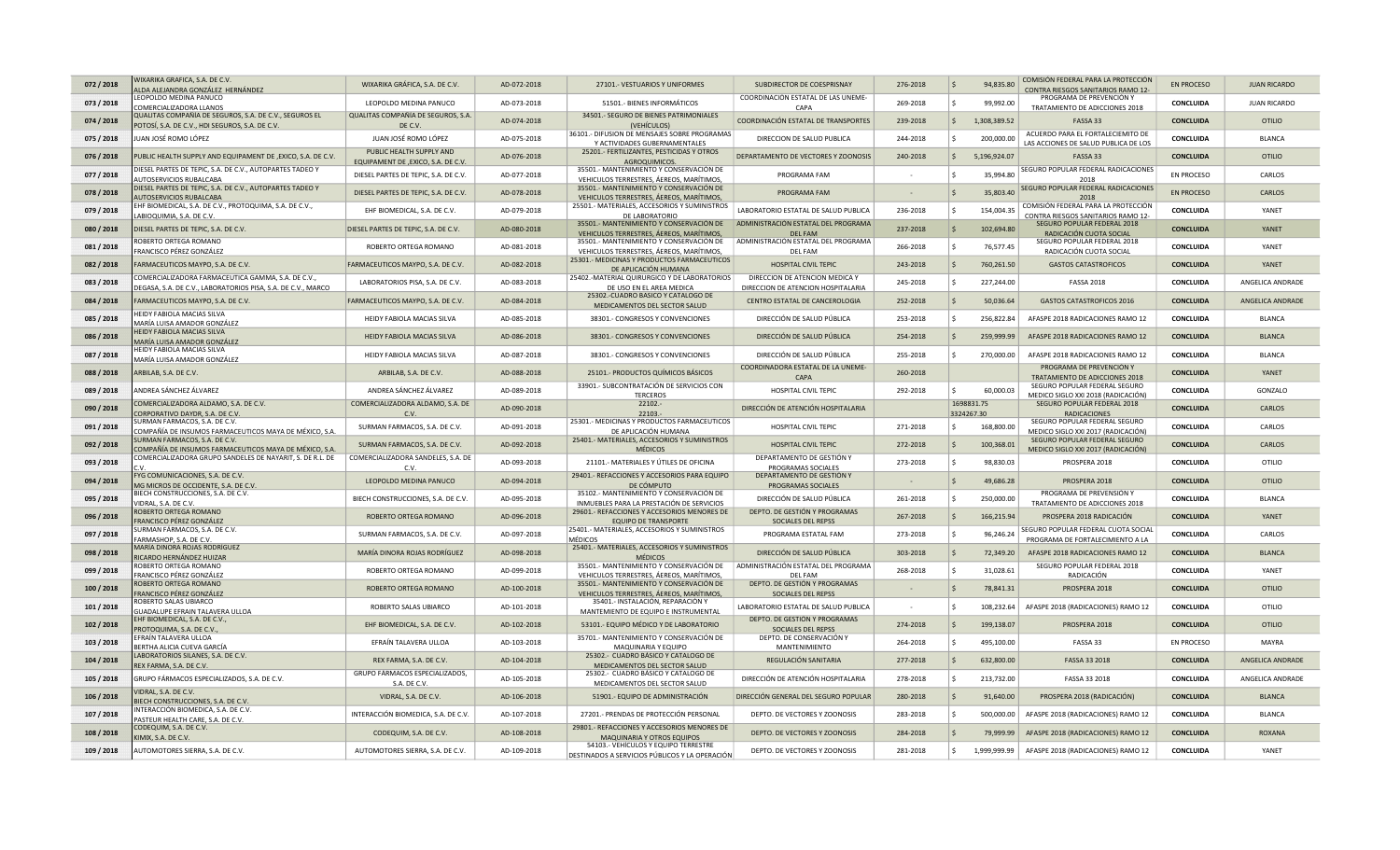| 072 / 2018 | VIXARIKA GRAFICA, S.A. DE C.V<br>ALDA ALEJANDRA GONZÁLEZ HERNÁNDEZ                      | WIXARIKA GRÁFICA, S.A. DE C.V.                                             | AD-072-2018 | 27101.- VESTUARIOS Y UNIFORMES                                                           | SUBDIRECTOR DE COESPRISNAY                                    | 276-2018 |                          | 94,835.80    | COMISIÓN FEDERAL PARA LA PROTECCIÓN<br>CONTRA RIESGOS SANITARIOS RAMO 12- | <b>EN PROCESO</b> | <b>JUAN RICARDO</b> |
|------------|-----------------------------------------------------------------------------------------|----------------------------------------------------------------------------|-------------|------------------------------------------------------------------------------------------|---------------------------------------------------------------|----------|--------------------------|--------------|---------------------------------------------------------------------------|-------------------|---------------------|
| 073 / 2018 | LEOPOLDO MEDINA PANUCO<br>OMERCIALIZADORA LLANOS                                        | LEOPOLDO MEDINA PANUCO                                                     | AD-073-2018 | 51501.- BIENES INFORMÁTICOS                                                              | COORDINACIÓN ESTATAL DE LAS UNEME-<br>CAPA                    | 269-2018 |                          | 99,992.00    | PROGRAMA DE PREVENCIÓN Y<br>TRATAMIENTO DE ADICCIONES 2018                | CONCLUIDA         | <b>JUAN RICARDO</b> |
| 074 / 2018 | QUALITAS COMPAÑÍA DE SEGUROS, S.A. DE C.V., SEGUROS EL                                  | QUALITAS COMPAÑÍA DE SEGUROS, S.A.                                         | AD-074-2018 | 34501.- SEGURO DE BIENES PATRIMONIALES                                                   | COORDINACIÓN ESTATAL DE TRANSPORTES                           | 239-2018 | l Ś                      | 1,308,389.52 | FASSA 33                                                                  | <b>CONCLUIDA</b>  | <b>OTILIO</b>       |
| 075 / 2018 | POTOSÍ, S.A. DE C.V., HDI SEGUROS, S.A. DE C.V.<br>JUAN JOSÉ ROMO LÓPEZ                 | DE C.V.<br>JUAN JOSÉ ROMO LÓPEZ                                            | AD-075-2018 | (VEHÍCULOS)<br>36101.- DIFUSION DE MENSAJES SOBRE PROGRAMAS                              | DIRECCION DE SALUD PUBLICA                                    | 244-2018 |                          | 200,000.00   | ACUERDO PARA EL FORTALECIEMITO DE                                         | CONCLUIDA         | <b>BLANCA</b>       |
| 076 / 2018 | UBLIC HEALTH SUPPLY AND EQUIPAMENT DE ,EXICO, S.A. DE C.V.                              | PUBLIC HEALTH SUPPLY AND                                                   | AD-076-2018 | Y ACTIVIDADES GUBERNAMENTALES<br>25201.- FERTILIZANTES, PESTICIDAS Y OTROS               | DEPARTAMENTO DE VECTORES Y ZOONOSIS                           | 240-2018 | l Ś                      | 5,196,924.07 | LAS ACCIONES DE SALUD PUBLICA DE LOS<br>FASSA 33                          | <b>CONCLUIDA</b>  | OTILIO              |
| 077 / 2018 | IESEL PARTES DE TEPIC, S.A. DE C.V., AUTOPARTES TADEO Y                                 | EQUIPAMENT DE , EXICO, S.A. DE C.V<br>DIESEL PARTES DE TEPIC, S.A. DE C.V. | AD-077-2018 | AGROQUIMICOS.<br>35501.- MANTENIMIENTO Y CONSERVACIÓN DE                                 | PROGRAMA FAM                                                  |          |                          | 35,994.80    | SEGURO POPULAR FEDERAL RADICACIONES                                       | EN PROCESO        | CARLOS              |
| 078 / 2018 | UTOSERVICIOS RUBALCABA<br>DIESEL PARTES DE TEPIC, S.A. DE C.V., AUTOPARTES TADEO Y      | DIESEL PARTES DE TEPIC, S.A. DE C.V.                                       | AD-078-2018 | VEHICULOS TERRESTRES, ÁEREOS, MARÍTIMOS,<br>35501.- MANTENIMIENTO Y CONSERVACIÓN DE      | PROGRAMA FAM                                                  |          | <sup>S</sup>             | 35,803.40    | 2018<br>SEGURO POPULAR FEDERAL RADICACIONES                               | <b>EN PROCESO</b> | CARLOS              |
| 079 / 2018 | <b>UTOSERVICIOS RUBALCABA</b><br>HF BIOMEDICAL, S.A. DE C.V., PROTOQUIMA, S.A. DE C.V., | EHF BIOMEDICAL, S.A. DE C.V.                                               | AD-079-2018 | VEHICULOS TERRESTRES, ÁEREOS, MARÍTIMOS,<br>25501.- MATERIALES, ACCESORIOS Y SUMINISTROS | LABORATORIO ESTATAL DE SALUD PUBLICA                          | 236-2018 |                          | 154,004.35   | 2018<br>COMISIÓN FEDERAL PARA LA PROTECCIÓN                               | CONCLUIDA         | YANET               |
| 080 / 2018 | ABIOQUIMIA, S.A. DE C.V.<br>DIESEL PARTES DE TEPIC, S.A. DE C.V.                        | DIESEL PARTES DE TEPIC, S.A. DE C.V                                        | AD-080-2018 | DE LABORATORIO<br>35501.- MANTENIMIENTO Y CONSERVACIÓN DE                                | ADMINISTRACIÓN ESTATAL DEL PROGRAMA                           | 237-2018 | <sub>S</sub>             | 102,694.80   | CONTRA RIESGOS SANITARIOS RAMO 12-<br>SEGURO POPULAR FEDERAL 2018         | <b>CONCLUIDA</b>  | YANET               |
| 081/2018   | OBERTO ORTEGA ROMANO                                                                    | ROBERTO ORTEGA ROMANO                                                      | AD-081-2018 | VEHICULOS TERRESTRES, ÁEREOS, MARÍTIMOS,<br>35501.- MANTENIMIENTO Y CONSERVACIÓN DE      | <b>DEL FAM</b><br>ADMINISTRACIÓN ESTATAL DEL PROGRAMA         | 266-2018 |                          | 76,577.45    | RADICACIÓN CUOTA SOCIAL<br>SEGURO POPULAR FEDERAL 2018                    | CONCLUIDA         | YANET               |
|            | RANCISCO PÉREZ GONZÁLEZ                                                                 |                                                                            |             | VEHICULOS TERRESTRES, ÁEREOS, MARÍTIMOS<br>25301.- MEDICINAS Y PRODUCTOS FARMACEUTICOS   | DEL FAM                                                       |          |                          |              | RADICACIÓN CUOTA SOCIAL                                                   |                   |                     |
| 082 / 2018 | ARMACEUTICOS MAYPO, S.A. DE C.V.<br>OMERCIALIZADORA FARMACEUTICA GAMMA, S.A. DE C.V.,   | FARMACEUTICOS MAYPO, S.A. DE C.V                                           | AD-082-2018 | DE APLICACIÓN HUMANA<br>25402.-MATERIAL QUIRURGICO Y DE LABORATORIOS                     | <b>HOSPITAL CIVIL TEPIC</b><br>DIRECCION DE ATENCION MEDICA Y | 243-2018 | <sub>S</sub>             | 760,261.50   | <b>GASTOS CATASTROFICOS</b>                                               | <b>CONCLUIDA</b>  | YANET               |
| 083 / 2018 | EGASA, S.A. DE C.V., LABORATORIOS PISA, S.A. DE C.V., MARCO                             | LABORATORIOS PISA, S.A. DE C.V.                                            | AD-083-2018 | DE USO EN EL AREA MEDICA<br>25302.-CUADRO BASICO Y CATALOGO DE                           | DIRECCION DE ATENCION HOSPITALARIA                            | 245-2018 |                          | 227,244.00   | <b>FASSA 2018</b>                                                         | <b>CONCLUIDA</b>  | ANGELICA ANDRADE    |
| 084 / 2018 | ARMACEUTICOS MAYPO, S.A. DE C.V.                                                        | FARMACEUTICOS MAYPO, S.A. DE C.V.                                          | AD-084-2018 | MEDICAMENTOS DEL SECTOR SALUD                                                            | CENTRO ESTATAL DE CANCEROLOGIA                                | 252-2018 |                          | 50,036.64    | <b>GASTOS CATASTROFICOS 2016</b>                                          | <b>CONCLUIDA</b>  | ANGELICA ANDRADE    |
| 085 / 2018 | HEIDY FABIOLA MACIAS SILVA<br>MARÍA LUISA AMADOR GONZÁLEZ                               | HEIDY FABIOLA MACIAS SILVA                                                 | AD-085-2018 | 38301.- CONGRESOS Y CONVENCIONES                                                         | DIRECCIÓN DE SALUD PÚBLICA                                    | 253-2018 |                          | 256,822.84   | AFASPE 2018 RADICACIONES RAMO 12                                          | CONCLUIDA         | <b>BLANCA</b>       |
| 086 / 2018 | HEIDY FABIOLA MACIAS SILVA<br>MARÍA LUISA AMADOR GONZÁLEZ                               | HEIDY FABIOLA MACIAS SILVA                                                 | AD-086-2018 | 38301.- CONGRESOS Y CONVENCIONES                                                         | DIRECCIÓN DE SALUD PÚBLICA                                    | 254-2018 |                          | 259,999.99   | AFASPE 2018 RADICACIONES RAMO 12                                          | <b>CONCLUIDA</b>  | <b>BLANCA</b>       |
| 087 / 2018 | HEIDY FABIOLA MACIAS SILVA<br>MARÍA LUISA AMADOR GONZÁLEZ                               | HEIDY FABIOLA MACIAS SILVA                                                 | AD-087-2018 | 38301.- CONGRESOS Y CONVENCIONES                                                         | DIRECCIÓN DE SALUD PÚBLICA                                    | 255-2018 |                          | 270,000.00   | AFASPE 2018 RADICACIONES RAMO 12                                          | CONCLUIDA         | <b>BI ANCA</b>      |
| 088 / 2018 | ARBILAB, S.A. DE C.V.                                                                   | ARBILAB, S.A. DE C.V.                                                      | AD-088-2018 | 25101.- PRODUCTOS QUÍMICOS BÁSICOS                                                       | COORDINADORA ESTATAL DE LA UNEME-<br>CAPA                     | 260-2018 |                          |              | PROGRAMA DE PREVENCIÓN Y<br>TRATAMIENTO DE ADICCIONES 2018                | <b>CONCLUIDA</b>  | YANFT               |
| 089 / 2018 | ANDREA SÁNCHEZ ÁLVAREZ                                                                  | ANDREA SÁNCHEZ ÁLVAREZ                                                     | AD-089-2018 | 33901.- SUBCONTRATACIÓN DE SERVICIOS CON<br>TERCEROS                                     | HOSPITAL CIVIL TEPIC                                          | 292-2018 |                          | 60,000.03    | SEGURO POPULAR FEDERAL SEGURO<br>MEDICO SIGLO XXI 2018 (RADICACIÓN)       | CONCLUIDA         | GONZALO             |
| 090 / 2018 | COMERCIALIZADORA ALDAMO, S.A. DE C.V.<br>ORPORATIVO DAYDR, S.A. DE C.V.                 | COMERCIALIZADORA ALDAMO, S.A. DE                                           | AD-090-2018 | 22102.<br>22103.                                                                         | DIRECCIÓN DE ATENCIÓN HOSPITALARIA                            |          | 1698831.75<br>3324267.30 |              | SEGURO POPULAR FEDERAL 2018<br><b>RADICACIONES</b>                        | <b>CONCLUIDA</b>  | CARLOS              |
| 091 / 2018 | URMAN FARMACOS, S.A. DE C.V.<br>OMPAÑÍA DE INSUMOS FARMACEUTICOS MAYA DE MÉXICO, S.A    | SURMAN FARMACOS, S.A. DE C.V.                                              | AD-091-2018 | 25301.- MEDICINAS Y PRODUCTOS FARMACEUTICOS<br>DE APLICACIÓN HUMANA                      | HOSPITAL CIVIL TEPIC                                          | 271-2018 | .S                       | 168,800.00   | SEGURO POPULAR FEDERAL SEGURO<br>MEDICO SIGLO XXI 2017 (RADICACIÓN)       | CONCLUIDA         | CARLOS              |
| 092 / 2018 | URMAN FARMACOS, S.A. DE C.V.<br>OMPAÑÍA DE INSUMOS FARMACEUTICOS MAYA DE MÉXICO, S.A.   | SURMAN FARMACOS, S.A. DE C.V.                                              | AD-092-2018 | 25401.- MATERIALES, ACCESORIOS Y SUMINISTROS<br><b>MÉDICOS</b>                           | HOSPITAL CIVIL TEPIC                                          | 272-2018 | <sub>S</sub>             | 100,368.01   | SEGURO POPULAR FEDERAL SEGURO<br>MEDICO SIGLO XXI 2017 (RADICACIÓN)       | <b>CONCLUIDA</b>  | CARLOS              |
| 093 / 2018 | OMERCIALIZADORA GRUPO SANDELES DE NAYARIT, S. DE R.L. DE                                | COMERCIALIZADORA SANDELES, S.A. DE<br>C.V                                  | AD-093-2018 | 21101.- MATERIALES Y ÚTILES DE OFICINA                                                   | DEPARTAMENTO DE GESTIÓN Y<br>PROGRAMAS SOCIALES               | 273-2018 |                          | 98,830.03    | PROSPERA 2018                                                             | CONCLUIDA         | OTILIO              |
| 094 / 2018 | YG COMUNICACIONES, S.A. DE C.V.<br>AG MICROS DE OCCIDENTE, S.A. DE C.V.                 | LEOPOLDO MEDINA PANUCO                                                     | AD-094-2018 | 29401.- REFACCIONES Y ACCESORIOS PARA EQUIPO<br>DE CÓMPUTO                               | DEPARTAMENTO DE GESTIÓN Y<br>PROGRAMAS SOCIALES               |          | <sup>S</sup>             | 49,686.28    | PROSPERA 2018                                                             | <b>CONCLUIDA</b>  | OTILIO              |
| 095 / 2018 | IECH CONSTRUCCIONES, S.A. DE C.V.<br>IDRAL, S.A. DE C.V.                                | BIECH CONSTRUCCIONES, S.A. DE C.V.                                         | AD-095-2018 | 35102.- MANTENIMIENTO Y CONSERVACIÓN DE<br>INMUEBLES PARA LA PRESTACIÓN DE SERVICIOS     | DIRECCIÓN DE SALUD PÚBLICA                                    | 261-2018 |                          | 250,000.00   | PROGRAMA DE PREVENSIÓN Y<br>TRATAMIENTO DE ADICCIONES 2018                | CONCLUIDA         | <b>BI ANCA</b>      |
| 096 / 2018 | OBERTO ORTEGA ROMANO<br>RANCISCO PÉREZ GONZÁLEZ                                         | ROBERTO ORTEGA ROMANO                                                      | AD-096-2018 | 29601.- REFACCIONES Y ACCESORIOS MENORES DE<br><b>EQUIPO DE TRANSPORTE</b>               | DEPTO. DE GESTIÓN Y PROGRAMAS<br>SOCIALES DEL REPSS           | 267-2018 | <sub>S</sub>             | 166,215.94   | PROSPERA 2018 RADICACIÓN                                                  | <b>CONCLUIDA</b>  | YANET               |
| 097 / 2018 | URMAN FARMACOS, S.A. DE C.V.<br>ARMASHOP, S.A. DE C.V.                                  | SURMAN FARMACOS, S.A. DE C.V.                                              | AD-097-2018 | 25401.- MATERIALES, ACCESORIOS Y SUMINISTROS<br>MÉDICOS                                  | PROGRAMA ESTATAL FAM                                          | 273-2018 |                          | 96,246.24    | SEGURO POPULAR FEDERAL CUOTA SOCIAL<br>PROGRAMA DE FORTALECIMIENTO A LA   | CONCLUIDA         | CARLOS              |
| 098 / 2018 | AARÍA DINORA ROJAS RODRIGUEZ<br>ICARDO HERNÁNDEZ HUIZAR                                 | MARÍA DINORA ROJAS RODRÍGUEZ                                               | AD-098-2018 | 25401.- MATERIALES, ACCESORIOS Y SUMINISTROS<br><b>MÉDICOS</b>                           | DIRECCIÓN DE SALUD PÚBLICA                                    | 303-2018 |                          | 72,349.20    | AFASPE 2018 RADICACIONES RAMO 12                                          | <b>CONCLUIDA</b>  | <b>BI ANCA</b>      |
| 099 / 2018 | OBERTO ORTEGA ROMANO<br>RANCISCO PÉREZ GONZÁLEZ                                         | ROBERTO ORTEGA ROMANO                                                      | AD-099-2018 | 35501.- MANTENIMIENTO Y CONSERVACIÓN DE<br>VEHICULOS TERRESTRES, ÁEREOS, MARÍTIMOS,      | ADMINISTRACIÓN ESTATAL DEL PROGRAMA<br>DEL FAM                | 268-2018 |                          | 31,028.61    | SEGURO POPULAR FEDERAL 2018<br>RADICACIÓN                                 | CONCLUIDA         | YANFT               |
| 100 / 2018 | OBERTO ORTEGA ROMANO<br>RANCISCO PÉREZ GONZÁLEZ                                         | ROBERTO ORTEGA ROMANO                                                      | AD-100-2018 | 35501.- MANTENIMIENTO Y CONSERVACIÓN DE<br>VEHICULOS TERRESTRES, ÁEREOS, MARÍTIMOS,      | DEPTO. DE GESTIÓN Y PROGRAMAS<br>SOCIALES DEL REPSS           |          |                          | 78,841.31    | PROSPERA 2018                                                             | <b>CONCLUIDA</b>  | <b>OTILIO</b>       |
| 101/2018   | OBERTO SALAS UBIARCO<br>UADALUPE EFRAIN TALAVERA ULLOA                                  | ROBERTO SALAS UBIARCO                                                      | AD-101-2018 | 35401.- INSTALACIÓN, REPARACIÓN Y<br>MANTEMIENTO DE EQUIPO E INSTRUMENTAL                | LABORATORIO ESTATAL DE SALUD PUBLICA                          |          |                          | 108,232.64   | AFASPE 2018 (RADICACIONES) RAMO 12                                        | CONCLUIDA         | <b>OTILIO</b>       |
| 102 / 2018 | HF BIOMEDICAL, S.A. DE C.V.<br>ROTOQUIMA, S.A. DE C.V.,                                 | EHF BIOMEDICAL, S.A. DE C.V.                                               | AD-102-2018 | 53101.- EQUIPO MÉDICO Y DE LABORATORIO                                                   | DEPTO. DE GESTIÓN Y PROGRAMAS<br>SOCIALES DEL REPSS           | 274-2018 | <sub>S</sub>             | 199,138.07   | PROSPERA 2018                                                             | <b>CONCLUIDA</b>  | <b>OTILIO</b>       |
| 103 / 2018 | FRAÍN TALAVERA ULLOA<br>BERTHA ALICIA CUEVA GARCÍA                                      | EFRAÍN TALAVERA ULLOA                                                      | AD-103-2018 | 35701.- MANTENIMIENTO Y CONSERVACIÓN DE<br>MAQUINARIA Y EQUIPO                           | DEPTO. DE CONSERVACIÓN Y<br>MANTENIMIENTO                     | 264-2018 |                          | 495,100.00   | FASSA 33                                                                  | <b>EN PROCESO</b> | <b>MAYRA</b>        |
| 104 / 2018 | ABORATORIOS SILANES, S.A. DE C.V<br>REX FARMA, S.A. DE C.V.                             | REX FARMA, S.A. DE C.V.                                                    | AD-104-2018 | 25302.- CUADRO BÁSICO Y CATALOGO DE<br>MEDICAMENTOS DEL SECTOR SALUD                     | REGULACIÓN SANITARIA                                          | 277-2018 | ۱Ś                       | 632,800.00   | FASSA 33 2018                                                             | <b>CONCLUIDA</b>  | ANGELICA ANDRADE    |
| 105 / 2018 | GRUPO FÁRMACOS ESPECIALIZADOS, S.A. DE C.V.                                             | GRUPO FÁRMACOS ESPECIALIZADOS,<br>S.A. DE C.V.                             | AD-105-2018 | 25302.- CUADRO BÁSICO Y CATALOGO DE<br>MEDICAMENTOS DEL SECTOR SALUD                     | DIRECCIÓN DE ATENCIÓN HOSPITALARIA                            | 278-2018 |                          | 213,732.00   | FASSA 33 2018                                                             | CONCLUIDA         | ANGELICA ANDRADE    |
| 106 / 2018 | <b>IDRAL, S.A. DE C.V.</b><br>BIECH CONSTRUCCIONES, S.A. DE C.V.                        | VIDRAL, S.A. DE C.V.                                                       | AD-106-2018 | 51901.- EQUIPO DE ADMINISTRACIÓN                                                         | DIRECCIÓN GENERAL DEL SEGURO POPULAR                          | 280-2018 | l S                      | 91,640.00    | PROSPERA 2018 (RADICACIÓN)                                                | <b>CONCLUIDA</b>  | <b>BI ANCA</b>      |
| 107 / 2018 | NTERACCIÓN BIOMEDICA, S.A. DE C.V.<br>ASTEUR HEALTH CARE, S.A. DE C.V.                  | INTERACCIÓN BIOMEDICA, S.A. DE C.V.                                        | AD-107-2018 | 27201.- PRENDAS DE PROTECCIÓN PERSONAL                                                   | DEPTO. DE VECTORES Y ZOONOSIS                                 | 283-2018 |                          | 500,000.00   | AFASPE 2018 (RADICACIONES) RAMO 12                                        | <b>CONCLUIDA</b>  | <b>BLANCA</b>       |
| 108 / 2018 | CODEQUIM, S.A. DE C.V.<br>KIMIX, S.A. DE C.V.                                           | CODEQUIM, S.A. DE C.V.                                                     | AD-108-2018 | 29801.- REFACCIONES Y ACCESORIOS MENORES DE<br>MAQUINARIA Y OTROS EQUIPOS                | DEPTO. DE VECTORES Y ZOONOSIS                                 | 284-2018 | <sup>S</sup>             | 79.999.99    | AFASPE 2018 (RADICACIONES) RAMO 12                                        | <b>CONCLUIDA</b>  | <b>ROXANA</b>       |
| 109 / 2018 | AUTOMOTORES SIERRA, S.A. DE C.V.                                                        | AUTOMOTORES SIERRA, S.A. DE C.V.                                           | AD-109-2018 | 54103.- VEHÍCULOS Y EQUIPO TERRESTRE                                                     | DEPTO. DE VECTORES Y ZOONOSIS                                 | 281-2018 | S.                       | 1,999,999.99 | AFASPE 2018 (RADICACIONES) RAMO 12                                        | CONCLUIDA         | YANFT               |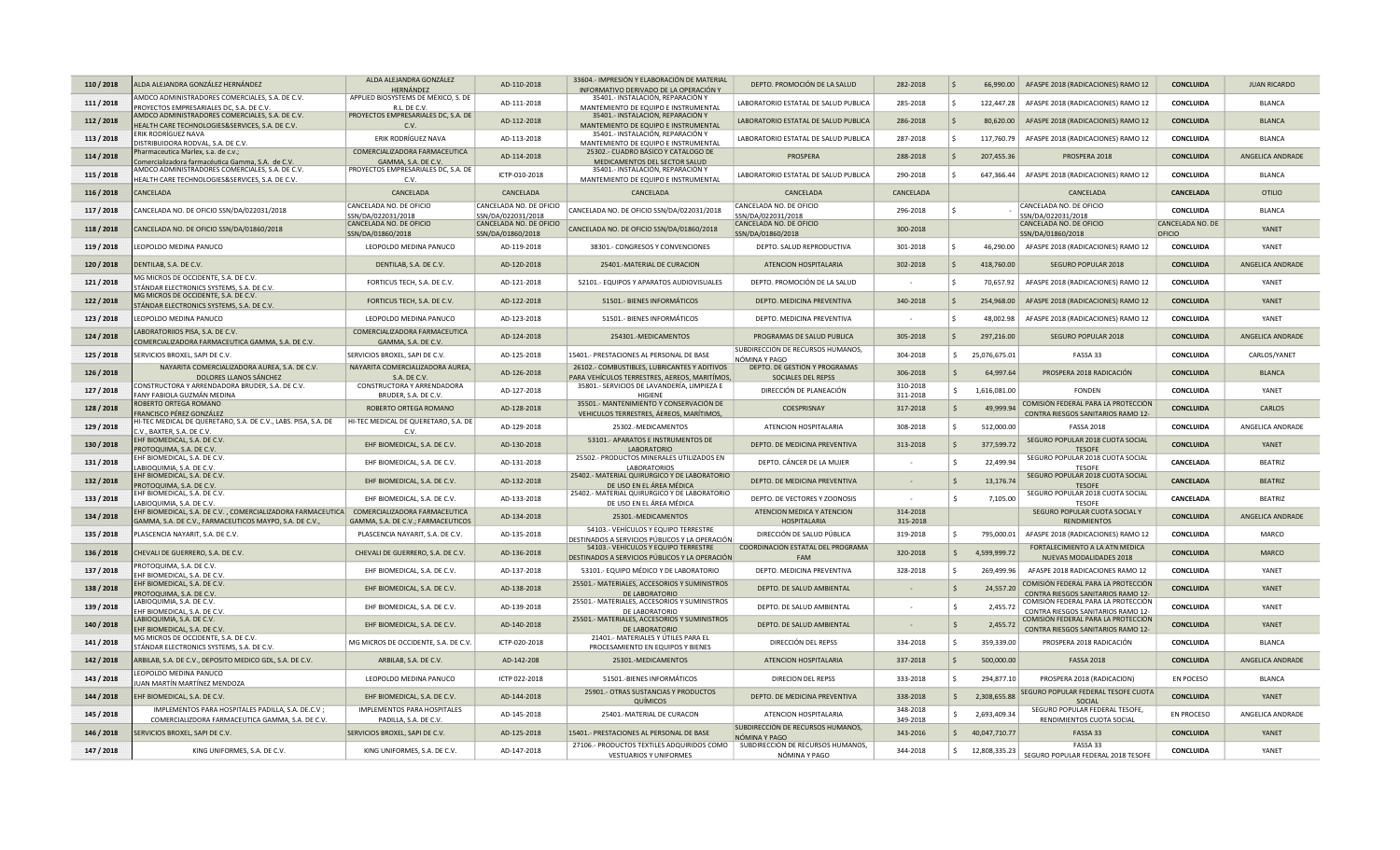| 110/2018   | ALDA ALEJANDRA GONZÁLEZ HERNÁNDEZ                                                                                                                    | ALDA ALEJANDRA GONZÁLEZ                                 | AD-110-2018                                   | 33604.- IMPRESIÓN Y ELABORACIÓN DE MATERIAL                                                   | DEPTO. PROMOCIÓN DE LA SALUD                        | 282-2018             | l s          |                 | 66,990.00   AFASPE 2018 (RADICACIONES) RAMO 12                            | <b>CONCLUIDA</b> | <b>JUAN RICARDO</b> |
|------------|------------------------------------------------------------------------------------------------------------------------------------------------------|---------------------------------------------------------|-----------------------------------------------|-----------------------------------------------------------------------------------------------|-----------------------------------------------------|----------------------|--------------|-----------------|---------------------------------------------------------------------------|------------------|---------------------|
|            | AMDCO ADMINISTRADORES COMERCIALES, S.A. DE C.V.                                                                                                      | <b>HERNÁNDEZ</b><br>APPLIED BIOSYSTEMS DE MÉXICO, S. DE |                                               | INFORMATIVO DERIVADO DE LA OPERACIÓN Y<br>35401.- INSTALACIÓN, REPARACIÓN Y                   |                                                     |                      |              |                 |                                                                           |                  |                     |
| 111 / 2018 | PROYECTOS EMPRESARIALES DC, S.A. DE C.V.                                                                                                             | R.L. DE C.V                                             | AD-111-2018                                   | MANTEMIENTO DE EQUIPO E INSTRUMENTAL                                                          | LABORATORIO ESTATAL DE SALUD PUBLICA                | 285-2018             | ١s           | 122,447.28      | AFASPE 2018 (RADICACIONES) RAMO 12                                        | CONCLUIDA        | <b>BLANCA</b>       |
| 112/2018   | AMDCO ADMINISTRADORES COMERCIALES, S.A. DE C.V.<br>HEALTH CARE TECHNOLOGIES&SERVICES, S.A. DE C.V.                                                   | PROYECTOS EMPRESARIALES DC, S.A. DE<br>C.V              | AD-112-2018                                   | 35401.- INSTALACIÓN, REPARACIÓN Y<br>MANTEMIENTO DE EQUIPO E INSTRUMENTAL                     | LABORATORIO ESTATAL DE SALUD PUBLICA                | 286-2018             | ۱ś           |                 | 80,620.00 AFASPE 2018 (RADICACIONES) RAMO 12                              | <b>CONCLUIDA</b> | <b>BLANCA</b>       |
| 113 / 2018 | ERIK RODRÍGUEZ NAVA<br>DISTRIBUIDORA RODVAL, S.A. DE C.V.                                                                                            | ERIK RODRÍGUEZ NAVA                                     | AD-113-2018                                   | 35401.- INSTALACIÓN, REPARACIÓN Y<br>MANTEMIENTO DE EQUIPO E INSTRUMENTAL                     | LABORATORIO ESTATAL DE SALUD PUBLICA                | 287-2018             | -S           | 117,760.79      | AFASPE 2018 (RADICACIONES) RAMO 12                                        | CONCLUIDA        | <b>BLANCA</b>       |
| 114/2018   | harmaceutica Marlex, s.a. de c.v.;<br>Comercializadora farmacéutica Gamma, S.A. de C.V                                                               | COMERCIALIZADORA FARMACEUTICA<br>GAMMA, S.A. DE C.V.    | AD-114-2018                                   | 25302 .- CUADRO BÁSICO Y CATALOGO DE<br>MEDICAMENTOS DEL SECTOR SALUD                         | <b>PROSPERA</b>                                     | 288-2018             | ۱ś           | 207,455.36      | PROSPERA 2018                                                             | <b>CONCLUIDA</b> | ANGELICA ANDRADE    |
| 115/2018   | AMDCO ADMINISTRADORES COMERCIALES, S.A. DE C.V.<br>HEALTH CARE TECHNOLOGIES&SERVICES, S.A. DE C.V.                                                   | PROYECTOS EMPRESARIALES DC, S.A. DE<br>C.V.             | ICTP-010-2018                                 | 35401.- INSTALACIÓN, REPARACIÓN Y<br>MANTEMIENTO DE EQUIPO E INSTRUMENTAL                     | LABORATORIO ESTATAL DE SALUD PUBLICA                | 290-2018             |              | 647,366.44      | AFASPE 2018 (RADICACIONES) RAMO 12                                        | CONCLUIDA        | <b>BLANCA</b>       |
| 116 / 2018 | CANCELADA                                                                                                                                            | CANCELADA                                               | CANCELADA                                     | CANCELADA                                                                                     | CANCELADA                                           | CANCELADA            |              |                 | CANCELADA                                                                 | <b>CANCELADA</b> | <b>OTILIO</b>       |
| 117 / 2018 | ANCELADA NO. DE OFICIO SSN/DA/022031/2018                                                                                                            | CANCELADA NO. DE OFICIO                                 | CANCELADA NO. DE OFICIO                       | CANCELADA NO. DE OFICIO SSN/DA/022031/2018                                                    | CANCELADA NO. DE OFICIO                             | 296-2018             |              |                 | CANCELADA NO. DE OFICIO                                                   | CONCLUIDA        | <b>BLANCA</b>       |
|            |                                                                                                                                                      | SSN/DA/022031/2018<br>CANCELADA NO. DE OFICIO           | SSN/DA/022031/2018<br>CANCELADA NO. DE OFICIO |                                                                                               | SN/DA/022031/2018<br>CANCELADA NO. DE OFICIO        |                      |              |                 | SSN/DA/022031/2018<br>CANCELADA NO. DE OFICIO                             | CANCELADA NO. DE | YANFT               |
| 118/2018   | CANCELADA NO. DE OFICIO SSN/DA/01860/2018                                                                                                            | SSN/DA/01860/2018                                       | SSN/DA/01860/2018                             | CANCELADA NO. DE OFICIO SSN/DA/01860/2018                                                     | SSN/DA/01860/2018                                   | 300-2018             |              |                 | SSN/DA/01860/2018                                                         | OFICIO           |                     |
| 119 / 2018 | EOPOLDO MEDINA PANUCO                                                                                                                                | LEOPOLDO MEDINA PANUCO                                  | AD-119-2018                                   | 38301.- CONGRESOS Y CONVENCIONES                                                              | DEPTO. SALUD REPRODUCTIVA                           | 301-2018             |              | 46,290.00       | AFASPE 2018 (RADICACIONES) RAMO 12                                        | CONCLUIDA        | YANFT               |
| 120 / 2018 | DENTILAB, S.A. DE C.V.                                                                                                                               | DENTILAB, S.A. DE C.V.                                  | AD-120-2018                                   | 25401.-MATERIAL DE CURACION                                                                   | ATENCION HOSPITALARIA                               | 302-2018             |              | 418,760.00      | SEGURO POPULAR 2018                                                       | <b>CONCLUIDA</b> | ANGELICA ANDRADE    |
| 121/2018   | MG MICROS DE OCCIDENTE. S.A. DE C.V<br>TÁNDAR ELECTRONICS SYSTEMS, S.A. DE C.V.<br>MG MICROS DE OCCIDENTE, S.A. DE C.V.                              | FORTICUS TECH, S.A. DE C.V.                             | AD-121-2018                                   | 52101.- EQUIPOS Y APARATOS AUDIOVISUALES                                                      | DEPTO. PROMOCIÓN DE LA SALUD                        |                      |              | 70.657.92       | AFASPE 2018 (RADICACIONES) RAMO 12                                        | <b>CONCLUIDA</b> | YANF1               |
| 122/2018   | STÁNDAR ELECTRONICS SYSTEMS, S.A. DE C.V                                                                                                             | FORTICUS TECH. S.A. DE C.V.                             | AD-122-2018                                   | 51501 .- BIENES INFORMÁTICOS                                                                  | DEPTO, MEDICINA PREVENTIVA                          | 340-2018             | -S           | 254,968,00      | AFASPE 2018 (RADICACIONES) RAMO 12                                        | <b>CONCLUIDA</b> | YANET               |
| 123 / 2018 | EOPOLDO MEDINA PANUCO                                                                                                                                | LEOPOLDO MEDINA PANUCO                                  | AD-123-2018                                   | 51501.- BIENES INFORMÁTICOS                                                                   | DEPTO. MEDICINA PREVENTIVA                          |                      |              | 48,002.98       | AFASPE 2018 (RADICACIONES) RAMO 12                                        | CONCLUIDA        | YANFT               |
| 124 / 2018 | ABORATORIIOS PISA, S.A. DE C.V.<br>COMERCIALIZADORA FARMACEUTICA GAMMA, S.A. DE C.V.                                                                 | COMERCIALIZADORA FARMACEUTICA<br>GAMMA, S.A. DE C.V.    | AD-124-2018                                   | 254301.-MEDICAMENTOS                                                                          | PROGRAMAS DE SALUD PUBLICA                          | 305-2018             |              | 297,216.00      | SEGURO POPULAR 2018                                                       | <b>CONCLUIDA</b> | ANGELICA ANDRADE    |
| 125 / 2018 | SERVICIOS BROXEL, SAPI DE C.V.                                                                                                                       | SERVICIOS BROXEL, SAPI DE C.V.                          | AD-125-2018                                   | 15401.- PRESTACIONES AL PERSONAL DE BASE                                                      | SUBDIRECCIÓN DE RECURSOS HUMANOS,<br>NÓMINA Y PAGO  | 304-2018             | S.           | 25,076,675.01   | FASSA 33                                                                  | CONCLUIDA        | CARLOS/YANET        |
| 126 / 2018 | NAYARITA COMERCIALIZADORA AUREA, S.A. DE C.V.<br>DOLORES LLANOS SÁNCHEZ                                                                              | NAYARITA COMERCIALIZADORA AUREA,<br>S.A. DE C.V.        | AD-126-2018                                   | 26102.- COMBUSTIBLES, LUBRICANTES Y ADITIVOS<br>PARA VEHÍCULOS TERRESTRES, AEREOS, MARITÍMOS, | DEPTO. DE GESTIÓN Y PROGRAMAS<br>SOCIALES DEL REPSS | 306-2018             |              | 64,997.64       | PROSPERA 2018 RADICACIÓN                                                  | <b>CONCLUIDA</b> | <b>BI ANCA</b>      |
| 127 / 2018 | CONSTRUCTORA Y ARRENDADORA BRUDER, S.A. DE C.V.                                                                                                      | CONSTRUCTORA Y ARRENDADORA                              | AD-127-2018                                   | 35801.- SERVICIOS DE LAVANDERÍA, LIMPIEZA E                                                   | DIRECCIÓN DE PLANEACIÓN                             | 310-2018             |              | 1,616,081.00    | <b>FONDEN</b>                                                             | CONCLUIDA        | YANET               |
|            | FANY FABIOLA GUZMÁN MEDINA<br>ROBERTO ORTEGA ROMANO                                                                                                  | BRUDER, S.A. DE C.V.                                    |                                               | HIGIENE<br>35501.- MANTENIMIENTO Y CONSERVACIÓN DE                                            |                                                     | 311-2018             |              |                 | COMISIÓN FEDERAL PARA LA PROTECCIÓN                                       |                  |                     |
| 128/2018   | FRANCISCO PÉREZ GONZÁLEZ                                                                                                                             | ROBERTO ORTEGA ROMANO                                   | AD-128-2018                                   | VEHICULOS TERRESTRES, ÁEREOS, MARÍTIMOS,                                                      | COESPRISNAY                                         | 317-2018             |              | 49,999.94       | CONTRA RIESGOS SANITARIOS RAMO 12-                                        | <b>CONCLUIDA</b> | CARLOS              |
| 129 / 2018 | II-TEC MEDICAL DE QUERETARO, S.A. DE C.V., LABS. PISA, S.A. DE<br>.V BAXTER, S.A. DE C.V.                                                            | HI-TEC MEDICAL DE QUERETARO, S.A. DE<br>C V             | AD-129-2018                                   | 25302.-MEDICAMENTOS                                                                           | ATENCION HOSPITALARIA                               | 308-2018             |              | 512,000.00      | <b>FASSA 2018</b>                                                         | CONCLUIDA        | ANGELICA ANDRADE    |
| 130 / 2018 | EHF BIOMEDICAL, S.A. DE C.V.<br>PROTOQUIMA, S.A. DE C.V.                                                                                             | EHF BIOMEDICAL, S.A. DE C.V.                            | AD-130-2018                                   | 53101.- APARATOS E INSTRUMENTOS DE<br><b>LARORATORIO</b>                                      | DEPTO. DE MEDICINA PREVENTIVA                       | 313-2018             |              | 377,599.72      | SEGURO POPULAR 2018 CUOTA SOCIAL<br><b>TESOFF</b>                         | <b>CONCLUIDA</b> | YANET               |
| 131/2018   | HF BIOMEDICAL, S.A. DE C.V.<br>ABIOQUIMIA, S.A. DE C.V.                                                                                              | EHF BIOMEDICAL, S.A. DE C.V.                            | AD-131-2018                                   | 25502.- PRODUCTOS MINERALES UTILIZADOS EN<br>LABORATORIOS                                     | DEPTO. CÁNCER DE LA MUJER                           |                      |              | 22,499.94       | SEGURO POPULAR 2018 CUOTA SOCIAL<br><b>TESOFE</b>                         | CANCELADA        | <b>BEATRIZ</b>      |
| 132 / 2018 | HF BIOMEDICAL, S.A. DE C.V.<br>PROTOQUIMA, S.A. DE C.V.                                                                                              | EHF BIOMEDICAL, S.A. DE C.V.                            | AD-132-2018                                   | 25402.- MATERIAL QUIRURGICO Y DE LABORATORIO<br>DE USO EN EL ÁREA MÉDICA                      | DEPTO. DE MEDICINA PREVENTIVA                       | $\sim$               |              | 13,176.74       | SEGURO POPULAR 2018 CUOTA SOCIAL<br><b>TESOFE</b>                         | CANCELADA        | <b>BEATRIZ</b>      |
| 133 / 2018 | HF BIOMEDICAL, S.A. DE C.V.<br>ABIOQUIMIA, S.A. DE C.V.                                                                                              | EHF BIOMEDICAL, S.A. DE C.V.                            | AD-133-2018                                   | 25402.- MATERIAL QUIRURGICO Y DE LABORATORIO<br>DE USO EN EL ÁREA MÉDICA                      | DEPTO. DE VECTORES Y ZOONOSIS                       |                      |              | 7,105.00        | SEGURO POPULAR 2018 CUOTA SOCIAL<br><b>TESOFE</b>                         | CANCELADA        | <b>BEATRIZ</b>      |
| 134 / 2018 | EHF BIOMEDICAL, S.A. DE C.V., COMERCIALIZADORA FARMACEUTICA COMERCIALIZADORA FARMACEUTICA<br>GAMMA, S.A. DE C.V., FARMACEUTICOS MAYPO, S.A. DE C.V., | GAMMA, S.A. DE C.V.; FARMACEUTICOS                      | AD-134-2018                                   | 25301.-MEDICAMENTOS                                                                           | ATENCION MEDICA Y ATENCION<br><b>HOSPITALARIA</b>   | 314-2018<br>315-2018 |              |                 | SEGURO POPULAR CUOTA SOCIAL Y<br><b>RENDIMIENTOS</b>                      | <b>CONCLUIDA</b> | ANGELICA ANDRADE    |
| 135 / 2018 | PLASCENCIA NAYARIT, S.A. DE C.V.                                                                                                                     | PLASCENCIA NAYARIT, S.A. DE C.V.                        | AD-135-2018                                   | 54103.- VEHÍCULOS Y EQUIPO TERRESTRE<br>DESTINADOS A SERVICIOS PÚBLICOS Y LA OPERACIÓN        | DIRECCIÓN DE SALUD PÚBLICA                          | 319-2018             |              | 795,000.01      | AFASPE 2018 (RADICACIONES) RAMO 12                                        | CONCLUIDA        | <b>MARCO</b>        |
| 136 / 2018 | CHEVALI DE GUERRERO, S.A. DE C.V.                                                                                                                    | CHEVALI DE GUERRERO, S.A. DE C.V.                       | AD-136-2018                                   | 54103.- VEHÍCULOS Y EQUIPO TERRESTRE<br>DESTINADOS A SERVICIOS PÚBLICOS Y LA OPERACIÓN        | COORDINACIÓN ESTATAL DEL PROGRAMA<br><b>FAM</b>     | 320-2018             |              | 4,599,999.72    | FORTALECIMIENTO A LA ATN MÉDICA<br>NUEVAS MODALIDADES 2018                | <b>CONCLUIDA</b> | <b>MARCO</b>        |
| 137 / 2018 | <b>PROTOQUIMA, S.A. DE C.V.</b><br>HF BIOMEDICAL, S.A. DE C.V                                                                                        | EHF BIOMEDICAL, S.A. DE C.V.                            | AD-137-2018                                   | 53101.- EQUIPO MÉDICO Y DE LABORATORIO                                                        | DEPTO. MEDICINA PREVENTIVA                          | 328-2018             |              | 269,499.96      | AFASPE 2018 RADICACIONES RAMO 12                                          | CONCLUIDA        | YANFT               |
| 138 / 2018 | HF BIOMEDICAL, S.A. DE C.V.<br>PROTOQUIMA, S.A. DE C.V.                                                                                              | EHF BIOMEDICAL, S.A. DE C.V.                            | AD-138-2018                                   | 25501.- MATERIALES, ACCESORIOS Y SUMINISTROS<br>DE LABORATORIO                                | DEPTO. DE SALUD AMBIENTAL                           |                      |              | 24,557.20       | COMISIÓN FEDERAL PARA LA PROTECCIÓN<br>CONTRA RIESGOS SANITARIOS RAMO 12- | <b>CONCLUIDA</b> | YANFT               |
| 139 / 2018 | ABIOQUIMIA, S.A. DE C.V.<br>EHF BIOMEDICAL, S.A. DE C.V                                                                                              | EHF BIOMEDICAL, S.A. DE C.V.                            | AD-139-2018                                   | 25501.- MATERIALES, ACCESORIOS Y SUMINISTROS<br>DE LABORATORIO                                | DEPTO. DE SALUD AMBIENTAL                           |                      |              | 2,455.72        | COMISIÓN FEDERAL PARA LA PROTECCIÓN<br>CONTRA RIESGOS SANITARIOS RAMO 12- | CONCLUIDA        | YANET               |
| 140 / 2018 | ABIOQUIMIA, S.A. DE C.V.<br>EHF BIOMEDICAL, S.A. DE C.V.                                                                                             | EHF BIOMEDICAL, S.A. DE C.V.                            | AD-140-2018                                   | 25501.- MATERIALES, ACCESORIOS Y SUMINISTROS<br>DE LABORATORIO                                | DEPTO. DE SALUD AMBIENTAL                           |                      |              | 2,455.72        | COMISIÓN FEDERAL PARA LA PROTECCIÓN<br>CONTRA RIESGOS SANITARIOS RAMO 12- | <b>CONCLUIDA</b> | YANFT               |
| 141 / 2018 | AG MICROS DE OCCIDENTE, S.A. DE C.V<br>STÁNDAR ELECTRONICS SYSTEMS, S.A. DE C.V.                                                                     | MG MICROS DE OCCIDENTE, S.A. DE C.V.                    | ICTP-020-2018                                 | 21401.- MATERIALES Y ÚTILES PARA EL<br>PROCESAMIENTO EN EQUIPOS Y BIENES                      | DIRECCIÓN DEL REPSS                                 | 334-2018             |              | 359,339.00      | PROSPERA 2018 RADICACIÓN                                                  | CONCLUIDA        | <b>BLANCA</b>       |
| 142 / 2018 | ARBILAB, S.A. DE C.V., DEPOSITO MEDICO GDL, S.A. DE C.V.                                                                                             | ARBILAB, S.A. DE C.V.                                   | AD-142-208                                    | 25301.-MEDICAMENTOS                                                                           | ATENCION HOSPITALARIA                               | 337-2018             | S.           | 500,000.00      | <b>FASSA 2018</b>                                                         | <b>CONCLUIDA</b> | ANGELICA ANDRADE    |
| 143 / 2018 | EOPOLDO MEDINA PANUCO<br>UAN MARTÍN MARTÍNEZ MENDOZA                                                                                                 | LEOPOLDO MEDINA PANUCO                                  | ICTP 022-2018                                 | 51501.-BIENES INFORMÁTICOS                                                                    | <b>DIRECION DEL REPSS</b>                           | 333-2018             | $\zeta$      | 294,877.10      | PROSPERA 2018 (RADICACION)                                                | <b>EN POCESO</b> | <b>BLANCA</b>       |
| 144 / 2018 | EHF BIOMEDICAL, S.A. DE C.V.                                                                                                                         | EHF BIOMEDICAL, S.A. DE C.V.                            | AD-144-2018                                   | 25901.- OTRAS SUSTANCIAS Y PRODUCTOS<br>QUÍMICOS                                              | DEPTO. DE MEDICINA PREVENTIVA                       | 338-2018             | $\mathsf{S}$ | 2,308,655.88    | SEGURO POPULAR FEDERAL TESOFE CUOTA<br>SOCIAL                             | <b>CONCLUIDA</b> | YANFT               |
| 145 / 2018 | IMPLEMENTOS PARA HOSPITALES PADILLA, S.A. DE.C.V ;<br>COMERCIALIZDORA FARMACEUTICA GAMMA, S.A. DE C.V.                                               | IMPLEMENTOS PARA HOSPITALES<br>PADILLA, S.A. DE C.V.    | AD-145-2018                                   | 25401.-MATERIAL DE CURACON                                                                    | ATENCION HOSPITALARIA                               | 348-2018<br>349-2018 |              | 2,693,409.34    | SEGURO POPULAR FEDERAL TESOFE,<br>RENDIMIENTOS CUOTA SOCIAL               | EN PROCESO       | ANGELICA ANDRADE    |
| 146 / 2018 | <b>SERVICIOS BROXEL, SAPI DE C.V.</b>                                                                                                                | SERVICIOS BROXEL, SAPI DE C.V.                          | AD-125-2018                                   | 15401.- PRESTACIONES AL PERSONAL DE BASE                                                      | SUBDIRECCIÓN DE RECURSOS HUMANOS,<br>NÓMINA Y PAGO  | 343-2016             |              | \$40,047,710.77 | FASSA 33                                                                  | <b>CONCLUIDA</b> | YANFT               |
| 147 / 2018 | KING UNIFORMES, S.A. DE C.V.                                                                                                                         | KING UNIFORMES, S.A. DE C.V                             | AD-147-2018                                   | 27106.- PRODUCTOS TEXTILES ADQUIRIDOS COMO<br>VESTUARIOS Y UNIFORMES                          | SUBDIRECCIÓN DE RECURSOS HUMANOS,<br>NÓMINA Y PAGO  | 344-2018             |              | \$12,808,335.23 | FASSA 33<br>SEGURO POPULAR FEDERAL 2018 TESOFE                            | CONCLUIDA        | <b>YANFT</b>        |